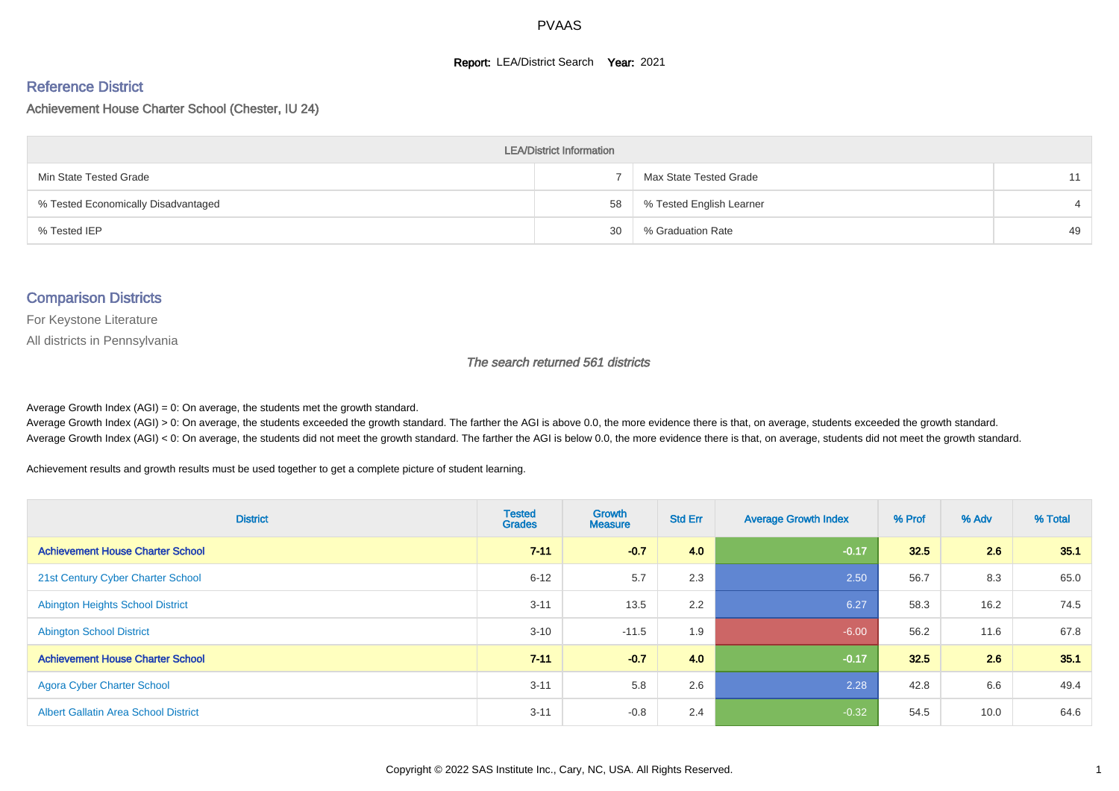#### **Report: LEA/District Search Year: 2021**

# Reference District

Achievement House Charter School (Chester, IU 24)

| <b>LEA/District Information</b>     |    |                          |    |  |  |  |  |  |  |  |
|-------------------------------------|----|--------------------------|----|--|--|--|--|--|--|--|
| Min State Tested Grade              |    | Max State Tested Grade   | 11 |  |  |  |  |  |  |  |
| % Tested Economically Disadvantaged | 58 | % Tested English Learner |    |  |  |  |  |  |  |  |
| % Tested IEP                        | 30 | % Graduation Rate        | 49 |  |  |  |  |  |  |  |

#### Comparison Districts

For Keystone Literature

All districts in Pennsylvania

The search returned 561 districts

Average Growth Index  $(AGI) = 0$ : On average, the students met the growth standard.

Average Growth Index (AGI) > 0: On average, the students exceeded the growth standard. The farther the AGI is above 0.0, the more evidence there is that, on average, students exceeded the growth standard. Average Growth Index (AGI) < 0: On average, the students did not meet the growth standard. The farther the AGI is below 0.0, the more evidence there is that, on average, students did not meet the growth standard.

Achievement results and growth results must be used together to get a complete picture of student learning.

| <b>District</b>                             | <b>Tested</b><br><b>Grades</b> | <b>Growth</b><br><b>Measure</b> | <b>Std Err</b> | <b>Average Growth Index</b> | % Prof | % Adv | % Total |
|---------------------------------------------|--------------------------------|---------------------------------|----------------|-----------------------------|--------|-------|---------|
| <b>Achievement House Charter School</b>     | $7 - 11$                       | $-0.7$                          | 4.0            | $-0.17$                     | 32.5   | 2.6   | 35.1    |
| 21st Century Cyber Charter School           | $6 - 12$                       | 5.7                             | 2.3            | 2.50                        | 56.7   | 8.3   | 65.0    |
| <b>Abington Heights School District</b>     | $3 - 11$                       | 13.5                            | 2.2            | 6.27                        | 58.3   | 16.2  | 74.5    |
| <b>Abington School District</b>             | $3 - 10$                       | $-11.5$                         | 1.9            | $-6.00$                     | 56.2   | 11.6  | 67.8    |
| <b>Achievement House Charter School</b>     | $7 - 11$                       | $-0.7$                          | 4.0            | $-0.17$                     | 32.5   | 2.6   | 35.1    |
| <b>Agora Cyber Charter School</b>           | $3 - 11$                       | 5.8                             | 2.6            | 2.28                        | 42.8   | 6.6   | 49.4    |
| <b>Albert Gallatin Area School District</b> | $3 - 11$                       | $-0.8$                          | 2.4            | $-0.32$                     | 54.5   | 10.0  | 64.6    |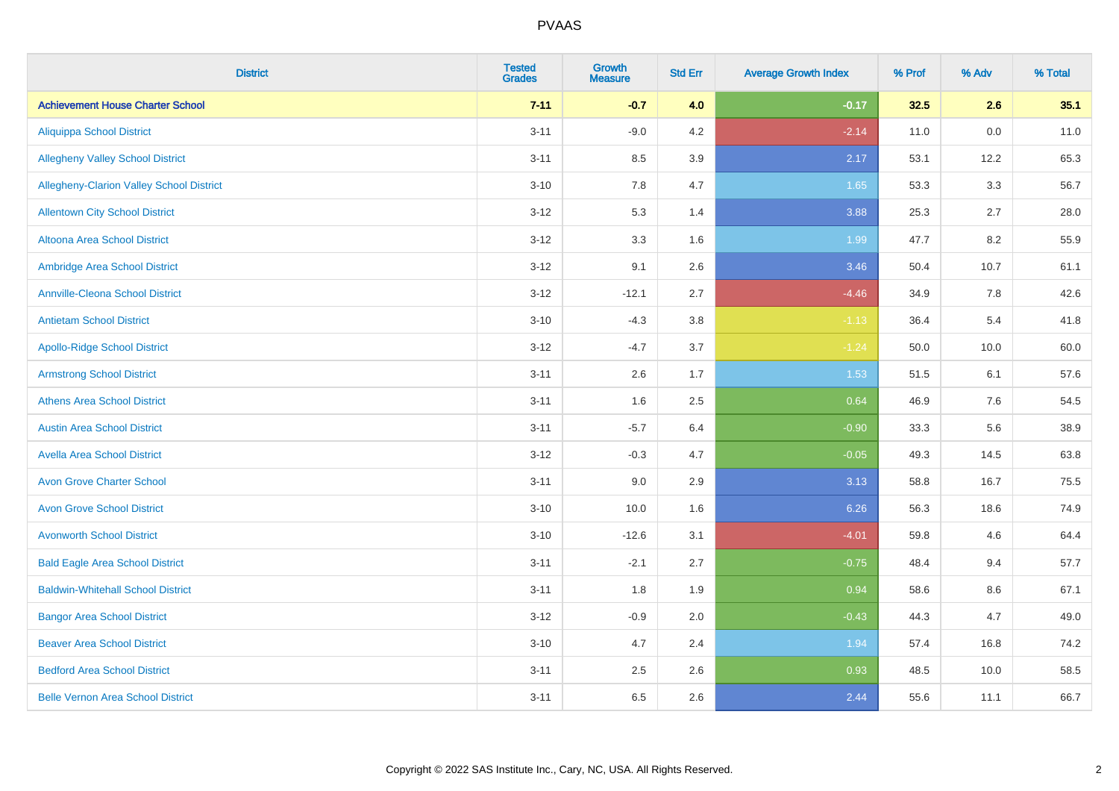| <b>District</b>                          | <b>Tested</b><br><b>Grades</b> | <b>Growth</b><br><b>Measure</b> | <b>Std Err</b> | <b>Average Growth Index</b> | % Prof | % Adv | % Total |
|------------------------------------------|--------------------------------|---------------------------------|----------------|-----------------------------|--------|-------|---------|
| <b>Achievement House Charter School</b>  | $7 - 11$                       | $-0.7$                          | 4.0            | $-0.17$                     | 32.5   | 2.6   | 35.1    |
| <b>Aliquippa School District</b>         | $3 - 11$                       | $-9.0$                          | 4.2            | $-2.14$                     | 11.0   | 0.0   | 11.0    |
| <b>Allegheny Valley School District</b>  | $3 - 11$                       | 8.5                             | 3.9            | 2.17                        | 53.1   | 12.2  | 65.3    |
| Allegheny-Clarion Valley School District | $3 - 10$                       | 7.8                             | 4.7            | 1.65                        | 53.3   | 3.3   | 56.7    |
| <b>Allentown City School District</b>    | $3 - 12$                       | 5.3                             | 1.4            | 3.88                        | 25.3   | 2.7   | 28.0    |
| <b>Altoona Area School District</b>      | $3 - 12$                       | 3.3                             | 1.6            | 1.99                        | 47.7   | 8.2   | 55.9    |
| Ambridge Area School District            | $3 - 12$                       | 9.1                             | 2.6            | 3.46                        | 50.4   | 10.7  | 61.1    |
| <b>Annville-Cleona School District</b>   | $3 - 12$                       | $-12.1$                         | 2.7            | $-4.46$                     | 34.9   | 7.8   | 42.6    |
| <b>Antietam School District</b>          | $3 - 10$                       | $-4.3$                          | 3.8            | $-1.13$                     | 36.4   | 5.4   | 41.8    |
| <b>Apollo-Ridge School District</b>      | $3 - 12$                       | $-4.7$                          | 3.7            | $-1.24$                     | 50.0   | 10.0  | 60.0    |
| <b>Armstrong School District</b>         | $3 - 11$                       | 2.6                             | 1.7            | 1.53                        | 51.5   | 6.1   | 57.6    |
| <b>Athens Area School District</b>       | $3 - 11$                       | 1.6                             | 2.5            | 0.64                        | 46.9   | 7.6   | 54.5    |
| <b>Austin Area School District</b>       | $3 - 11$                       | $-5.7$                          | 6.4            | $-0.90$                     | 33.3   | 5.6   | 38.9    |
| <b>Avella Area School District</b>       | $3 - 12$                       | $-0.3$                          | 4.7            | $-0.05$                     | 49.3   | 14.5  | 63.8    |
| <b>Avon Grove Charter School</b>         | $3 - 11$                       | 9.0                             | 2.9            | 3.13                        | 58.8   | 16.7  | 75.5    |
| <b>Avon Grove School District</b>        | $3 - 10$                       | 10.0                            | 1.6            | 6.26                        | 56.3   | 18.6  | 74.9    |
| <b>Avonworth School District</b>         | $3 - 10$                       | $-12.6$                         | 3.1            | $-4.01$                     | 59.8   | 4.6   | 64.4    |
| <b>Bald Eagle Area School District</b>   | $3 - 11$                       | $-2.1$                          | 2.7            | $-0.75$                     | 48.4   | 9.4   | 57.7    |
| <b>Baldwin-Whitehall School District</b> | $3 - 11$                       | 1.8                             | 1.9            | 0.94                        | 58.6   | 8.6   | 67.1    |
| <b>Bangor Area School District</b>       | $3 - 12$                       | $-0.9$                          | 2.0            | $-0.43$                     | 44.3   | 4.7   | 49.0    |
| <b>Beaver Area School District</b>       | $3 - 10$                       | 4.7                             | 2.4            | 1.94                        | 57.4   | 16.8  | 74.2    |
| <b>Bedford Area School District</b>      | $3 - 11$                       | 2.5                             | 2.6            | 0.93                        | 48.5   | 10.0  | 58.5    |
| <b>Belle Vernon Area School District</b> | $3 - 11$                       | 6.5                             | 2.6            | 2.44                        | 55.6   | 11.1  | 66.7    |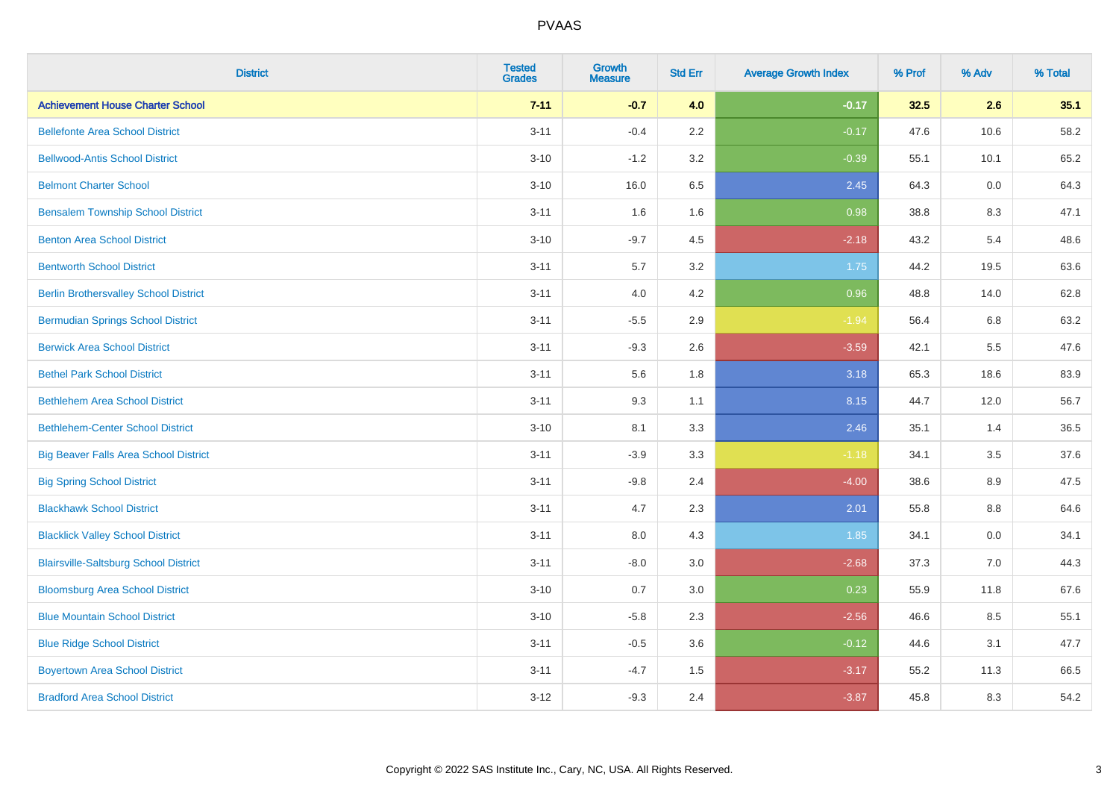| <b>District</b>                              | <b>Tested</b><br><b>Grades</b> | <b>Growth</b><br><b>Measure</b> | <b>Std Err</b> | <b>Average Growth Index</b> | % Prof | % Adv | % Total |
|----------------------------------------------|--------------------------------|---------------------------------|----------------|-----------------------------|--------|-------|---------|
| <b>Achievement House Charter School</b>      | $7 - 11$                       | $-0.7$                          | 4.0            | $-0.17$                     | 32.5   | 2.6   | 35.1    |
| <b>Bellefonte Area School District</b>       | $3 - 11$                       | $-0.4$                          | 2.2            | $-0.17$                     | 47.6   | 10.6  | 58.2    |
| <b>Bellwood-Antis School District</b>        | $3 - 10$                       | $-1.2$                          | 3.2            | $-0.39$                     | 55.1   | 10.1  | 65.2    |
| <b>Belmont Charter School</b>                | $3 - 10$                       | 16.0                            | 6.5            | 2.45                        | 64.3   | 0.0   | 64.3    |
| <b>Bensalem Township School District</b>     | $3 - 11$                       | 1.6                             | 1.6            | 0.98                        | 38.8   | 8.3   | 47.1    |
| <b>Benton Area School District</b>           | $3 - 10$                       | $-9.7$                          | 4.5            | $-2.18$                     | 43.2   | 5.4   | 48.6    |
| <b>Bentworth School District</b>             | $3 - 11$                       | 5.7                             | 3.2            | 1.75                        | 44.2   | 19.5  | 63.6    |
| <b>Berlin Brothersvalley School District</b> | $3 - 11$                       | 4.0                             | 4.2            | 0.96                        | 48.8   | 14.0  | 62.8    |
| <b>Bermudian Springs School District</b>     | $3 - 11$                       | $-5.5$                          | 2.9            | $-1.94$                     | 56.4   | 6.8   | 63.2    |
| <b>Berwick Area School District</b>          | $3 - 11$                       | $-9.3$                          | 2.6            | $-3.59$                     | 42.1   | 5.5   | 47.6    |
| <b>Bethel Park School District</b>           | $3 - 11$                       | 5.6                             | 1.8            | 3.18                        | 65.3   | 18.6  | 83.9    |
| <b>Bethlehem Area School District</b>        | $3 - 11$                       | 9.3                             | 1.1            | 8.15                        | 44.7   | 12.0  | 56.7    |
| <b>Bethlehem-Center School District</b>      | $3 - 10$                       | 8.1                             | 3.3            | 2.46                        | 35.1   | 1.4   | 36.5    |
| <b>Big Beaver Falls Area School District</b> | $3 - 11$                       | $-3.9$                          | 3.3            | $-1.18$                     | 34.1   | 3.5   | 37.6    |
| <b>Big Spring School District</b>            | $3 - 11$                       | $-9.8$                          | 2.4            | $-4.00$                     | 38.6   | 8.9   | 47.5    |
| <b>Blackhawk School District</b>             | $3 - 11$                       | 4.7                             | 2.3            | 2.01                        | 55.8   | 8.8   | 64.6    |
| <b>Blacklick Valley School District</b>      | $3 - 11$                       | 8.0                             | 4.3            | 1.85                        | 34.1   | 0.0   | 34.1    |
| <b>Blairsville-Saltsburg School District</b> | $3 - 11$                       | $-8.0$                          | 3.0            | $-2.68$                     | 37.3   | 7.0   | 44.3    |
| <b>Bloomsburg Area School District</b>       | $3 - 10$                       | 0.7                             | 3.0            | 0.23                        | 55.9   | 11.8  | 67.6    |
| <b>Blue Mountain School District</b>         | $3 - 10$                       | $-5.8$                          | 2.3            | $-2.56$                     | 46.6   | 8.5   | 55.1    |
| <b>Blue Ridge School District</b>            | $3 - 11$                       | $-0.5$                          | 3.6            | $-0.12$                     | 44.6   | 3.1   | 47.7    |
| <b>Boyertown Area School District</b>        | $3 - 11$                       | $-4.7$                          | 1.5            | $-3.17$                     | 55.2   | 11.3  | 66.5    |
| <b>Bradford Area School District</b>         | $3 - 12$                       | $-9.3$                          | 2.4            | $-3.87$                     | 45.8   | 8.3   | 54.2    |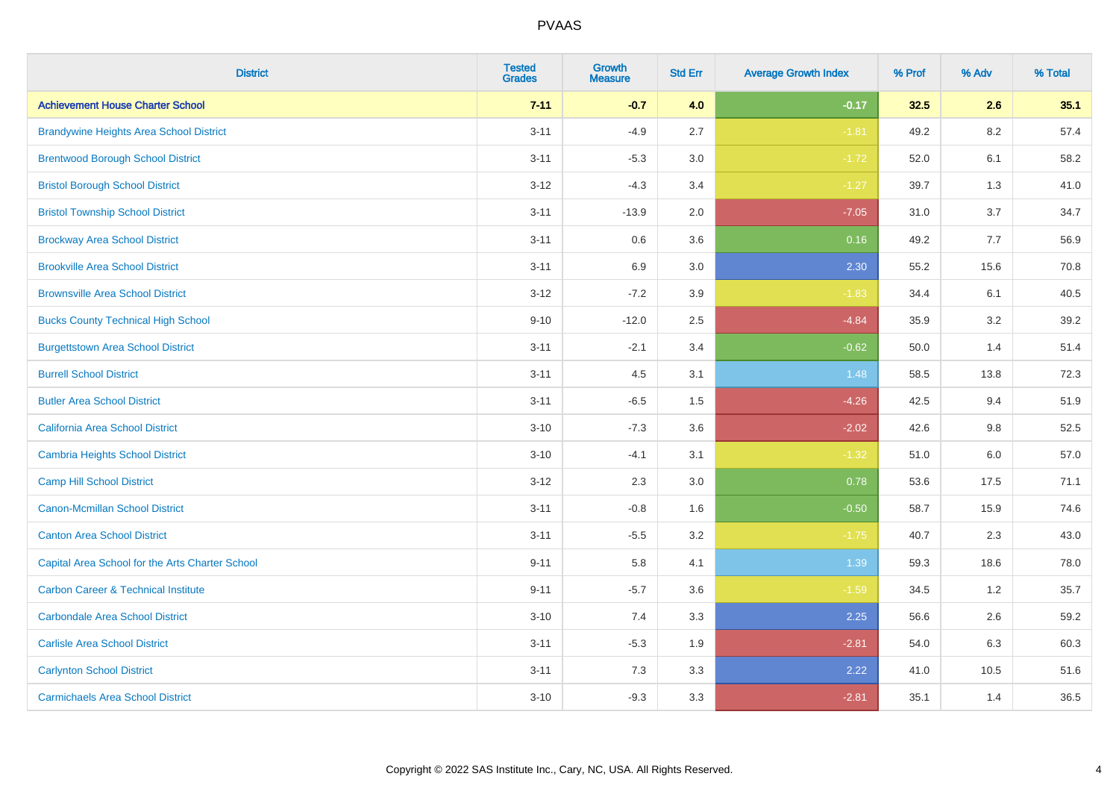| <b>District</b>                                 | <b>Tested</b><br><b>Grades</b> | Growth<br><b>Measure</b> | <b>Std Err</b> | <b>Average Growth Index</b> | % Prof | % Adv   | % Total |
|-------------------------------------------------|--------------------------------|--------------------------|----------------|-----------------------------|--------|---------|---------|
| <b>Achievement House Charter School</b>         | $7 - 11$                       | $-0.7$                   | 4.0            | $-0.17$                     | 32.5   | 2.6     | 35.1    |
| <b>Brandywine Heights Area School District</b>  | $3 - 11$                       | $-4.9$                   | 2.7            | $-1.81$                     | 49.2   | 8.2     | 57.4    |
| <b>Brentwood Borough School District</b>        | $3 - 11$                       | $-5.3$                   | 3.0            | $-1.72$                     | 52.0   | 6.1     | 58.2    |
| <b>Bristol Borough School District</b>          | $3 - 12$                       | $-4.3$                   | 3.4            | $-1.27$                     | 39.7   | 1.3     | 41.0    |
| <b>Bristol Township School District</b>         | $3 - 11$                       | $-13.9$                  | 2.0            | $-7.05$                     | 31.0   | 3.7     | 34.7    |
| <b>Brockway Area School District</b>            | $3 - 11$                       | 0.6                      | 3.6            | 0.16                        | 49.2   | 7.7     | 56.9    |
| <b>Brookville Area School District</b>          | $3 - 11$                       | 6.9                      | 3.0            | 2.30                        | 55.2   | 15.6    | 70.8    |
| <b>Brownsville Area School District</b>         | $3 - 12$                       | $-7.2$                   | 3.9            | $-1.83$                     | 34.4   | 6.1     | 40.5    |
| <b>Bucks County Technical High School</b>       | $9 - 10$                       | $-12.0$                  | 2.5            | $-4.84$                     | 35.9   | 3.2     | 39.2    |
| <b>Burgettstown Area School District</b>        | $3 - 11$                       | $-2.1$                   | 3.4            | $-0.62$                     | 50.0   | 1.4     | 51.4    |
| <b>Burrell School District</b>                  | $3 - 11$                       | 4.5                      | 3.1            | 1.48                        | 58.5   | 13.8    | 72.3    |
| <b>Butler Area School District</b>              | $3 - 11$                       | $-6.5$                   | 1.5            | $-4.26$                     | 42.5   | 9.4     | 51.9    |
| California Area School District                 | $3 - 10$                       | $-7.3$                   | 3.6            | $-2.02$                     | 42.6   | 9.8     | 52.5    |
| Cambria Heights School District                 | $3 - 10$                       | $-4.1$                   | 3.1            | $-1.32$                     | 51.0   | $6.0\,$ | 57.0    |
| <b>Camp Hill School District</b>                | $3 - 12$                       | 2.3                      | 3.0            | 0.78                        | 53.6   | 17.5    | 71.1    |
| Canon-Mcmillan School District                  | $3 - 11$                       | $-0.8$                   | 1.6            | $-0.50$                     | 58.7   | 15.9    | 74.6    |
| <b>Canton Area School District</b>              | $3 - 11$                       | $-5.5$                   | 3.2            | $-1.75$                     | 40.7   | 2.3     | 43.0    |
| Capital Area School for the Arts Charter School | $9 - 11$                       | 5.8                      | 4.1            | 1.39                        | 59.3   | 18.6    | 78.0    |
| <b>Carbon Career &amp; Technical Institute</b>  | $9 - 11$                       | $-5.7$                   | 3.6            | $-1.59$                     | 34.5   | 1.2     | 35.7    |
| <b>Carbondale Area School District</b>          | $3 - 10$                       | 7.4                      | 3.3            | 2.25                        | 56.6   | 2.6     | 59.2    |
| <b>Carlisle Area School District</b>            | $3 - 11$                       | $-5.3$                   | 1.9            | $-2.81$                     | 54.0   | 6.3     | 60.3    |
| <b>Carlynton School District</b>                | $3 - 11$                       | 7.3                      | 3.3            | 2.22                        | 41.0   | 10.5    | 51.6    |
| <b>Carmichaels Area School District</b>         | $3 - 10$                       | $-9.3$                   | 3.3            | $-2.81$                     | 35.1   | 1.4     | 36.5    |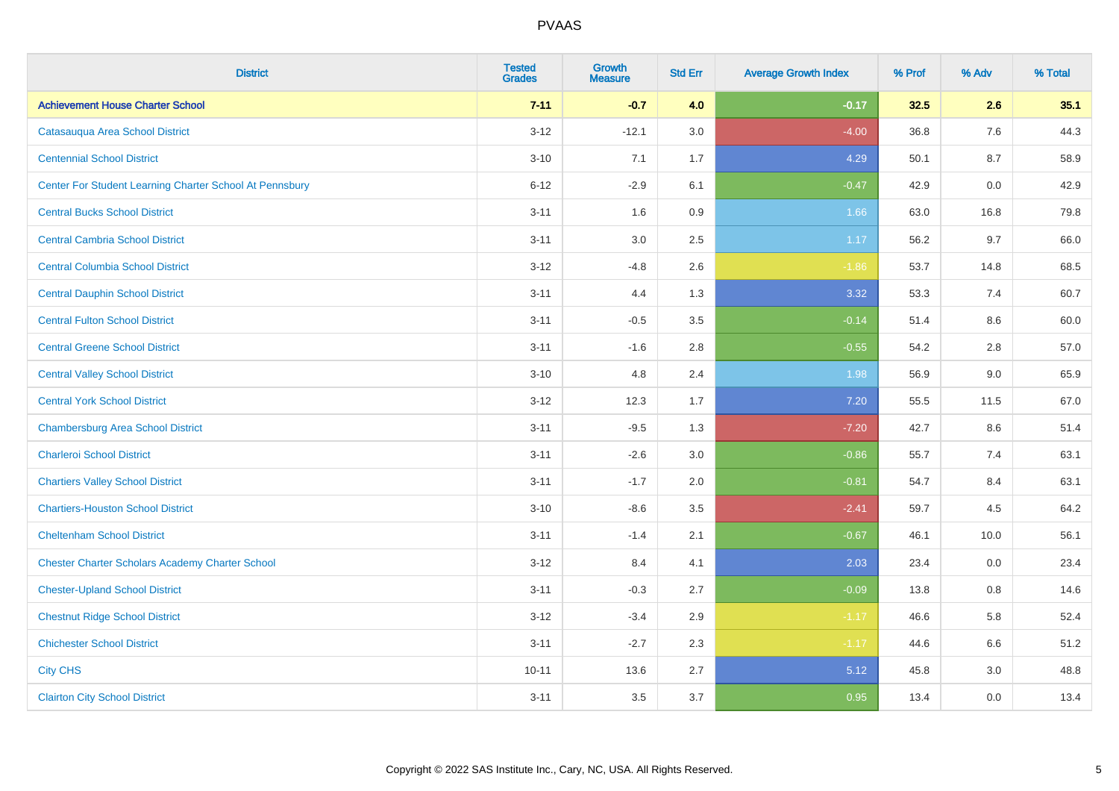| <b>District</b>                                         | <b>Tested</b><br><b>Grades</b> | <b>Growth</b><br><b>Measure</b> | <b>Std Err</b> | <b>Average Growth Index</b> | % Prof | % Adv | % Total |
|---------------------------------------------------------|--------------------------------|---------------------------------|----------------|-----------------------------|--------|-------|---------|
| <b>Achievement House Charter School</b>                 | $7 - 11$                       | $-0.7$                          | 4.0            | $-0.17$                     | 32.5   | 2.6   | 35.1    |
| Catasauqua Area School District                         | $3 - 12$                       | $-12.1$                         | 3.0            | $-4.00$                     | 36.8   | 7.6   | 44.3    |
| <b>Centennial School District</b>                       | $3 - 10$                       | 7.1                             | 1.7            | 4.29                        | 50.1   | 8.7   | 58.9    |
| Center For Student Learning Charter School At Pennsbury | $6 - 12$                       | $-2.9$                          | 6.1            | $-0.47$                     | 42.9   | 0.0   | 42.9    |
| <b>Central Bucks School District</b>                    | $3 - 11$                       | 1.6                             | 0.9            | 1.66                        | 63.0   | 16.8  | 79.8    |
| <b>Central Cambria School District</b>                  | $3 - 11$                       | 3.0                             | 2.5            | 1.17                        | 56.2   | 9.7   | 66.0    |
| <b>Central Columbia School District</b>                 | $3 - 12$                       | $-4.8$                          | 2.6            | $-1.86$                     | 53.7   | 14.8  | 68.5    |
| <b>Central Dauphin School District</b>                  | $3 - 11$                       | 4.4                             | 1.3            | 3.32                        | 53.3   | 7.4   | 60.7    |
| <b>Central Fulton School District</b>                   | $3 - 11$                       | $-0.5$                          | 3.5            | $-0.14$                     | 51.4   | 8.6   | 60.0    |
| <b>Central Greene School District</b>                   | $3 - 11$                       | $-1.6$                          | 2.8            | $-0.55$                     | 54.2   | 2.8   | 57.0    |
| <b>Central Valley School District</b>                   | $3 - 10$                       | 4.8                             | 2.4            | 1.98                        | 56.9   | 9.0   | 65.9    |
| <b>Central York School District</b>                     | $3 - 12$                       | 12.3                            | 1.7            | 7.20                        | 55.5   | 11.5  | 67.0    |
| <b>Chambersburg Area School District</b>                | $3 - 11$                       | $-9.5$                          | 1.3            | $-7.20$                     | 42.7   | 8.6   | 51.4    |
| <b>Charleroi School District</b>                        | $3 - 11$                       | $-2.6$                          | 3.0            | $-0.86$                     | 55.7   | 7.4   | 63.1    |
| <b>Chartiers Valley School District</b>                 | $3 - 11$                       | $-1.7$                          | 2.0            | $-0.81$                     | 54.7   | 8.4   | 63.1    |
| <b>Chartiers-Houston School District</b>                | $3 - 10$                       | $-8.6$                          | 3.5            | $-2.41$                     | 59.7   | 4.5   | 64.2    |
| <b>Cheltenham School District</b>                       | $3 - 11$                       | $-1.4$                          | 2.1            | $-0.67$                     | 46.1   | 10.0  | 56.1    |
| <b>Chester Charter Scholars Academy Charter School</b>  | $3 - 12$                       | 8.4                             | 4.1            | 2.03                        | 23.4   | 0.0   | 23.4    |
| <b>Chester-Upland School District</b>                   | $3 - 11$                       | $-0.3$                          | 2.7            | $-0.09$                     | 13.8   | 0.8   | 14.6    |
| <b>Chestnut Ridge School District</b>                   | $3 - 12$                       | $-3.4$                          | 2.9            | $-1.17$                     | 46.6   | 5.8   | 52.4    |
| <b>Chichester School District</b>                       | $3 - 11$                       | $-2.7$                          | 2.3            | $-1.17$                     | 44.6   | 6.6   | 51.2    |
| <b>City CHS</b>                                         | $10 - 11$                      | 13.6                            | 2.7            | 5.12                        | 45.8   | 3.0   | 48.8    |
| <b>Clairton City School District</b>                    | $3 - 11$                       | 3.5                             | 3.7            | 0.95                        | 13.4   | 0.0   | 13.4    |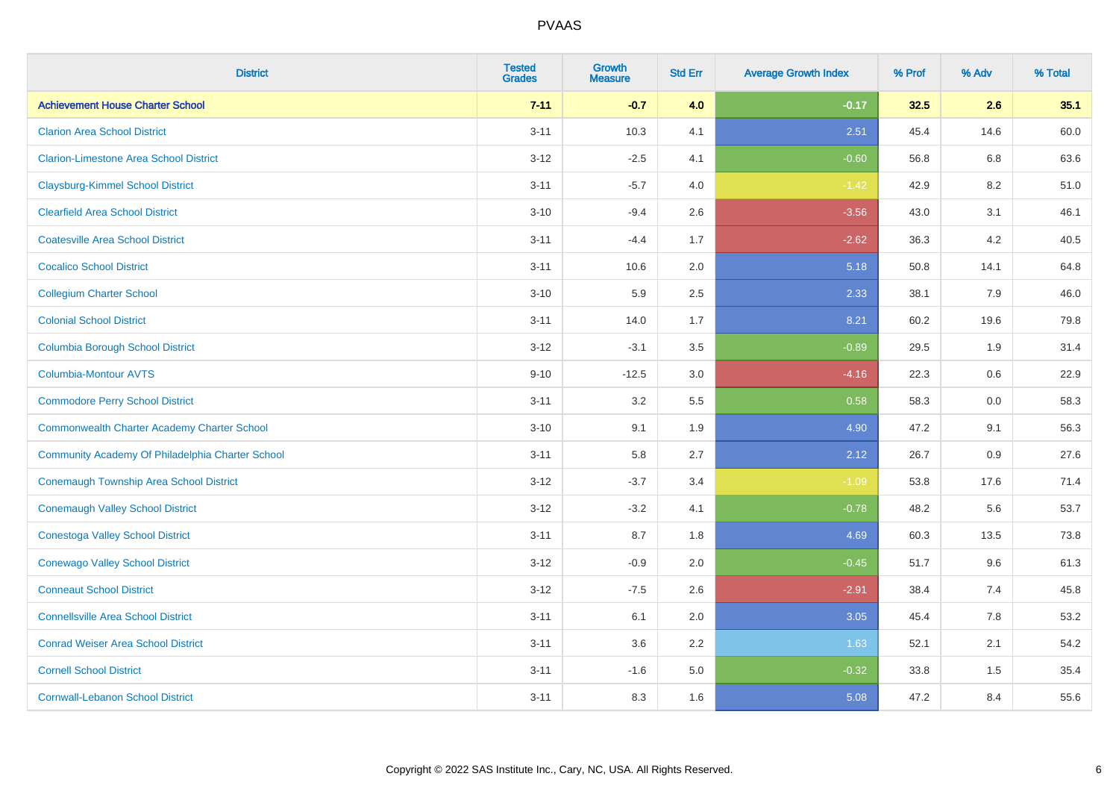| <b>District</b>                                    | <b>Tested</b><br><b>Grades</b> | <b>Growth</b><br><b>Measure</b> | <b>Std Err</b> | <b>Average Growth Index</b> | % Prof | % Adv | % Total |
|----------------------------------------------------|--------------------------------|---------------------------------|----------------|-----------------------------|--------|-------|---------|
| <b>Achievement House Charter School</b>            | $7 - 11$                       | $-0.7$                          | 4.0            | $-0.17$                     | 32.5   | 2.6   | 35.1    |
| <b>Clarion Area School District</b>                | $3 - 11$                       | 10.3                            | 4.1            | 2.51                        | 45.4   | 14.6  | 60.0    |
| <b>Clarion-Limestone Area School District</b>      | $3 - 12$                       | $-2.5$                          | 4.1            | $-0.60$                     | 56.8   | 6.8   | 63.6    |
| <b>Claysburg-Kimmel School District</b>            | $3 - 11$                       | $-5.7$                          | 4.0            | $-1.42$                     | 42.9   | 8.2   | 51.0    |
| <b>Clearfield Area School District</b>             | $3 - 10$                       | $-9.4$                          | 2.6            | $-3.56$                     | 43.0   | 3.1   | 46.1    |
| <b>Coatesville Area School District</b>            | $3 - 11$                       | $-4.4$                          | 1.7            | $-2.62$                     | 36.3   | 4.2   | 40.5    |
| <b>Cocalico School District</b>                    | $3 - 11$                       | 10.6                            | 2.0            | 5.18                        | 50.8   | 14.1  | 64.8    |
| <b>Collegium Charter School</b>                    | $3 - 10$                       | 5.9                             | 2.5            | 2.33                        | 38.1   | 7.9   | 46.0    |
| <b>Colonial School District</b>                    | $3 - 11$                       | 14.0                            | 1.7            | 8.21                        | 60.2   | 19.6  | 79.8    |
| <b>Columbia Borough School District</b>            | $3 - 12$                       | $-3.1$                          | 3.5            | $-0.89$                     | 29.5   | 1.9   | 31.4    |
| <b>Columbia-Montour AVTS</b>                       | $9 - 10$                       | $-12.5$                         | 3.0            | $-4.16$                     | 22.3   | 0.6   | 22.9    |
| <b>Commodore Perry School District</b>             | $3 - 11$                       | 3.2                             | 5.5            | 0.58                        | 58.3   | 0.0   | 58.3    |
| <b>Commonwealth Charter Academy Charter School</b> | $3 - 10$                       | 9.1                             | 1.9            | 4.90                        | 47.2   | 9.1   | 56.3    |
| Community Academy Of Philadelphia Charter School   | $3 - 11$                       | 5.8                             | 2.7            | 2.12                        | 26.7   | 0.9   | 27.6    |
| Conemaugh Township Area School District            | $3 - 12$                       | $-3.7$                          | 3.4            | $-1.09$                     | 53.8   | 17.6  | 71.4    |
| <b>Conemaugh Valley School District</b>            | $3 - 12$                       | $-3.2$                          | 4.1            | $-0.78$                     | 48.2   | 5.6   | 53.7    |
| <b>Conestoga Valley School District</b>            | $3 - 11$                       | 8.7                             | 1.8            | 4.69                        | 60.3   | 13.5  | 73.8    |
| <b>Conewago Valley School District</b>             | $3 - 12$                       | $-0.9$                          | 2.0            | $-0.45$                     | 51.7   | 9.6   | 61.3    |
| <b>Conneaut School District</b>                    | $3 - 12$                       | $-7.5$                          | 2.6            | $-2.91$                     | 38.4   | 7.4   | 45.8    |
| <b>Connellsville Area School District</b>          | $3 - 11$                       | 6.1                             | 2.0            | 3.05                        | 45.4   | 7.8   | 53.2    |
| <b>Conrad Weiser Area School District</b>          | $3 - 11$                       | 3.6                             | 2.2            | 1.63                        | 52.1   | 2.1   | 54.2    |
| <b>Cornell School District</b>                     | $3 - 11$                       | $-1.6$                          | 5.0            | $-0.32$                     | 33.8   | 1.5   | 35.4    |
| <b>Cornwall-Lebanon School District</b>            | $3 - 11$                       | 8.3                             | 1.6            | 5.08                        | 47.2   | 8.4   | 55.6    |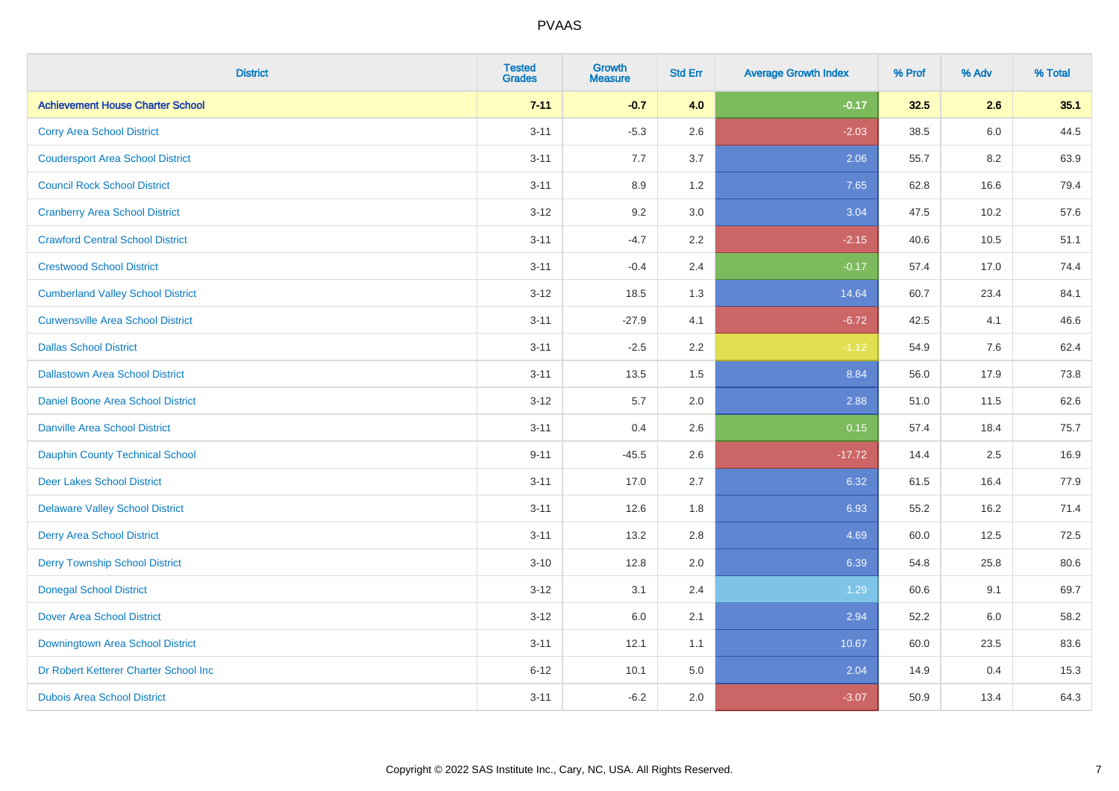| <b>District</b>                          | <b>Tested</b><br><b>Grades</b> | <b>Growth</b><br><b>Measure</b> | <b>Std Err</b> | <b>Average Growth Index</b> | % Prof | % Adv | % Total |
|------------------------------------------|--------------------------------|---------------------------------|----------------|-----------------------------|--------|-------|---------|
| <b>Achievement House Charter School</b>  | $7 - 11$                       | $-0.7$                          | 4.0            | $-0.17$                     | 32.5   | 2.6   | 35.1    |
| <b>Corry Area School District</b>        | $3 - 11$                       | $-5.3$                          | 2.6            | $-2.03$                     | 38.5   | 6.0   | 44.5    |
| <b>Coudersport Area School District</b>  | $3 - 11$                       | 7.7                             | 3.7            | 2.06                        | 55.7   | 8.2   | 63.9    |
| <b>Council Rock School District</b>      | $3 - 11$                       | 8.9                             | 1.2            | 7.65                        | 62.8   | 16.6  | 79.4    |
| <b>Cranberry Area School District</b>    | $3 - 12$                       | 9.2                             | 3.0            | 3.04                        | 47.5   | 10.2  | 57.6    |
| <b>Crawford Central School District</b>  | $3 - 11$                       | $-4.7$                          | 2.2            | $-2.15$                     | 40.6   | 10.5  | 51.1    |
| <b>Crestwood School District</b>         | $3 - 11$                       | $-0.4$                          | 2.4            | $-0.17$                     | 57.4   | 17.0  | 74.4    |
| <b>Cumberland Valley School District</b> | $3 - 12$                       | 18.5                            | 1.3            | 14.64                       | 60.7   | 23.4  | 84.1    |
| <b>Curwensville Area School District</b> | $3 - 11$                       | $-27.9$                         | 4.1            | $-6.72$                     | 42.5   | 4.1   | 46.6    |
| <b>Dallas School District</b>            | $3 - 11$                       | $-2.5$                          | $2.2\,$        | $-1.12$                     | 54.9   | 7.6   | 62.4    |
| <b>Dallastown Area School District</b>   | $3 - 11$                       | 13.5                            | 1.5            | 8.84                        | 56.0   | 17.9  | 73.8    |
| Daniel Boone Area School District        | $3 - 12$                       | 5.7                             | 2.0            | 2.88                        | 51.0   | 11.5  | 62.6    |
| <b>Danville Area School District</b>     | $3 - 11$                       | 0.4                             | 2.6            | 0.15                        | 57.4   | 18.4  | 75.7    |
| <b>Dauphin County Technical School</b>   | $9 - 11$                       | $-45.5$                         | 2.6            | $-17.72$                    | 14.4   | 2.5   | 16.9    |
| <b>Deer Lakes School District</b>        | $3 - 11$                       | 17.0                            | 2.7            | 6.32                        | 61.5   | 16.4  | 77.9    |
| <b>Delaware Valley School District</b>   | $3 - 11$                       | 12.6                            | 1.8            | 6.93                        | 55.2   | 16.2  | 71.4    |
| <b>Derry Area School District</b>        | $3 - 11$                       | 13.2                            | 2.8            | 4.69                        | 60.0   | 12.5  | 72.5    |
| <b>Derry Township School District</b>    | $3 - 10$                       | 12.8                            | 2.0            | 6.39                        | 54.8   | 25.8  | 80.6    |
| <b>Donegal School District</b>           | $3 - 12$                       | 3.1                             | 2.4            | 1.29                        | 60.6   | 9.1   | 69.7    |
| <b>Dover Area School District</b>        | $3 - 12$                       | 6.0                             | 2.1            | 2.94                        | 52.2   | 6.0   | 58.2    |
| Downingtown Area School District         | $3 - 11$                       | 12.1                            | 1.1            | 10.67                       | 60.0   | 23.5  | 83.6    |
| Dr Robert Ketterer Charter School Inc    | $6 - 12$                       | 10.1                            | 5.0            | 2.04                        | 14.9   | 0.4   | 15.3    |
| <b>Dubois Area School District</b>       | $3 - 11$                       | $-6.2$                          | 2.0            | $-3.07$                     | 50.9   | 13.4  | 64.3    |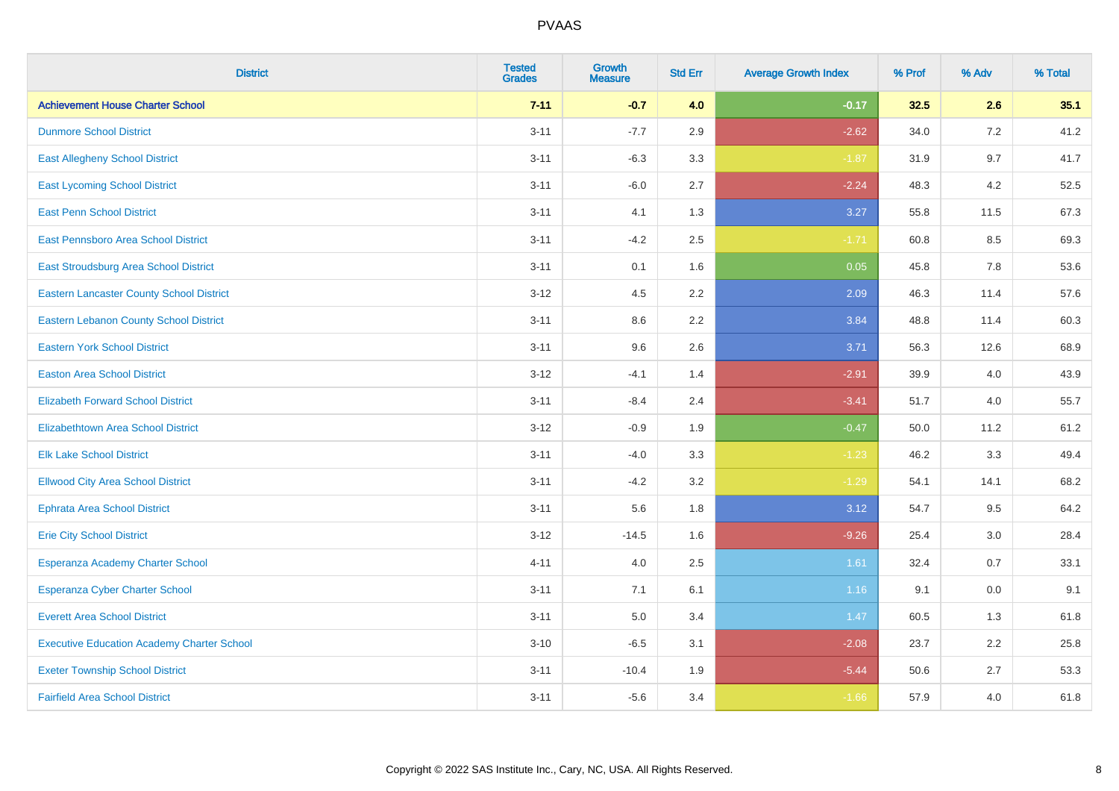| <b>District</b>                                   | <b>Tested</b><br><b>Grades</b> | <b>Growth</b><br><b>Measure</b> | <b>Std Err</b> | <b>Average Growth Index</b> | % Prof | % Adv | % Total |
|---------------------------------------------------|--------------------------------|---------------------------------|----------------|-----------------------------|--------|-------|---------|
| <b>Achievement House Charter School</b>           | $7 - 11$                       | $-0.7$                          | 4.0            | $-0.17$                     | 32.5   | 2.6   | 35.1    |
| <b>Dunmore School District</b>                    | $3 - 11$                       | $-7.7$                          | 2.9            | $-2.62$                     | 34.0   | 7.2   | 41.2    |
| <b>East Allegheny School District</b>             | $3 - 11$                       | $-6.3$                          | 3.3            | $-1.87$                     | 31.9   | 9.7   | 41.7    |
| <b>East Lycoming School District</b>              | $3 - 11$                       | $-6.0$                          | 2.7            | $-2.24$                     | 48.3   | 4.2   | 52.5    |
| <b>East Penn School District</b>                  | $3 - 11$                       | 4.1                             | 1.3            | 3.27                        | 55.8   | 11.5  | 67.3    |
| East Pennsboro Area School District               | $3 - 11$                       | $-4.2$                          | 2.5            | $-1.71$                     | 60.8   | 8.5   | 69.3    |
| <b>East Stroudsburg Area School District</b>      | $3 - 11$                       | 0.1                             | 1.6            | 0.05                        | 45.8   | 7.8   | 53.6    |
| <b>Eastern Lancaster County School District</b>   | $3 - 12$                       | 4.5                             | 2.2            | 2.09                        | 46.3   | 11.4  | 57.6    |
| <b>Eastern Lebanon County School District</b>     | $3 - 11$                       | 8.6                             | 2.2            | 3.84                        | 48.8   | 11.4  | 60.3    |
| <b>Eastern York School District</b>               | $3 - 11$                       | 9.6                             | 2.6            | 3.71                        | 56.3   | 12.6  | 68.9    |
| <b>Easton Area School District</b>                | $3 - 12$                       | $-4.1$                          | 1.4            | $-2.91$                     | 39.9   | 4.0   | 43.9    |
| <b>Elizabeth Forward School District</b>          | $3 - 11$                       | $-8.4$                          | 2.4            | $-3.41$                     | 51.7   | 4.0   | 55.7    |
| <b>Elizabethtown Area School District</b>         | $3 - 12$                       | $-0.9$                          | 1.9            | $-0.47$                     | 50.0   | 11.2  | 61.2    |
| <b>Elk Lake School District</b>                   | $3 - 11$                       | $-4.0$                          | 3.3            | $-1.23$                     | 46.2   | 3.3   | 49.4    |
| <b>Ellwood City Area School District</b>          | $3 - 11$                       | $-4.2$                          | 3.2            | $-1.29$                     | 54.1   | 14.1  | 68.2    |
| <b>Ephrata Area School District</b>               | $3 - 11$                       | 5.6                             | 1.8            | 3.12                        | 54.7   | 9.5   | 64.2    |
| <b>Erie City School District</b>                  | $3 - 12$                       | $-14.5$                         | 1.6            | $-9.26$                     | 25.4   | 3.0   | 28.4    |
| Esperanza Academy Charter School                  | $4 - 11$                       | 4.0                             | 2.5            | 1.61                        | 32.4   | 0.7   | 33.1    |
| <b>Esperanza Cyber Charter School</b>             | $3 - 11$                       | 7.1                             | 6.1            | 1.16                        | 9.1    | 0.0   | 9.1     |
| <b>Everett Area School District</b>               | $3 - 11$                       | 5.0                             | 3.4            | 1.47                        | 60.5   | 1.3   | 61.8    |
| <b>Executive Education Academy Charter School</b> | $3 - 10$                       | $-6.5$                          | 3.1            | $-2.08$                     | 23.7   | 2.2   | 25.8    |
| <b>Exeter Township School District</b>            | $3 - 11$                       | $-10.4$                         | 1.9            | $-5.44$                     | 50.6   | 2.7   | 53.3    |
| <b>Fairfield Area School District</b>             | $3 - 11$                       | $-5.6$                          | 3.4            | $-1.66$                     | 57.9   | 4.0   | 61.8    |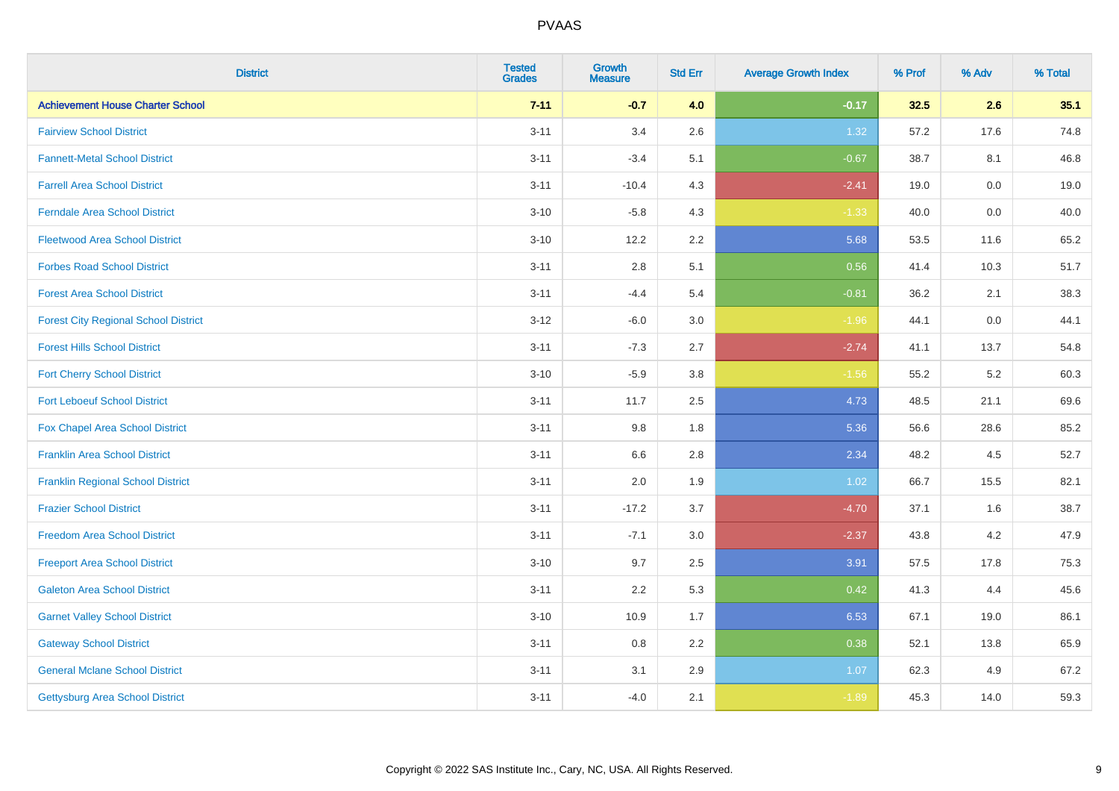| <b>District</b>                             | <b>Tested</b><br><b>Grades</b> | <b>Growth</b><br><b>Measure</b> | <b>Std Err</b> | <b>Average Growth Index</b> | % Prof | % Adv   | % Total |
|---------------------------------------------|--------------------------------|---------------------------------|----------------|-----------------------------|--------|---------|---------|
| <b>Achievement House Charter School</b>     | $7 - 11$                       | $-0.7$                          | 4.0            | $-0.17$                     | 32.5   | 2.6     | 35.1    |
| <b>Fairview School District</b>             | $3 - 11$                       | 3.4                             | 2.6            | 1.32                        | 57.2   | 17.6    | 74.8    |
| <b>Fannett-Metal School District</b>        | $3 - 11$                       | $-3.4$                          | 5.1            | $-0.67$                     | 38.7   | 8.1     | 46.8    |
| <b>Farrell Area School District</b>         | $3 - 11$                       | $-10.4$                         | 4.3            | $-2.41$                     | 19.0   | $0.0\,$ | 19.0    |
| <b>Ferndale Area School District</b>        | $3 - 10$                       | $-5.8$                          | 4.3            | $-1.33$                     | 40.0   | 0.0     | 40.0    |
| <b>Fleetwood Area School District</b>       | $3 - 10$                       | 12.2                            | 2.2            | 5.68                        | 53.5   | 11.6    | 65.2    |
| <b>Forbes Road School District</b>          | $3 - 11$                       | 2.8                             | 5.1            | 0.56                        | 41.4   | 10.3    | 51.7    |
| <b>Forest Area School District</b>          | $3 - 11$                       | $-4.4$                          | 5.4            | $-0.81$                     | 36.2   | 2.1     | 38.3    |
| <b>Forest City Regional School District</b> | $3 - 12$                       | $-6.0$                          | 3.0            | $-1.96$                     | 44.1   | $0.0\,$ | 44.1    |
| <b>Forest Hills School District</b>         | $3 - 11$                       | $-7.3$                          | 2.7            | $-2.74$                     | 41.1   | 13.7    | 54.8    |
| <b>Fort Cherry School District</b>          | $3 - 10$                       | $-5.9$                          | 3.8            | $-1.56$                     | 55.2   | $5.2\,$ | 60.3    |
| <b>Fort Leboeuf School District</b>         | $3 - 11$                       | 11.7                            | 2.5            | 4.73                        | 48.5   | 21.1    | 69.6    |
| Fox Chapel Area School District             | $3 - 11$                       | 9.8                             | 1.8            | 5.36                        | 56.6   | 28.6    | 85.2    |
| <b>Franklin Area School District</b>        | $3 - 11$                       | 6.6                             | 2.8            | 2.34                        | 48.2   | 4.5     | 52.7    |
| <b>Franklin Regional School District</b>    | $3 - 11$                       | 2.0                             | 1.9            | 1.02                        | 66.7   | 15.5    | 82.1    |
| <b>Frazier School District</b>              | $3 - 11$                       | $-17.2$                         | 3.7            | $-4.70$                     | 37.1   | 1.6     | 38.7    |
| <b>Freedom Area School District</b>         | $3 - 11$                       | $-7.1$                          | 3.0            | $-2.37$                     | 43.8   | 4.2     | 47.9    |
| <b>Freeport Area School District</b>        | $3 - 10$                       | 9.7                             | 2.5            | 3.91                        | 57.5   | 17.8    | 75.3    |
| <b>Galeton Area School District</b>         | $3 - 11$                       | 2.2                             | 5.3            | 0.42                        | 41.3   | 4.4     | 45.6    |
| <b>Garnet Valley School District</b>        | $3 - 10$                       | 10.9                            | 1.7            | 6.53                        | 67.1   | 19.0    | 86.1    |
| <b>Gateway School District</b>              | $3 - 11$                       | 0.8                             | 2.2            | 0.38                        | 52.1   | 13.8    | 65.9    |
| <b>General Mclane School District</b>       | $3 - 11$                       | 3.1                             | 2.9            | 1.07                        | 62.3   | 4.9     | 67.2    |
| Gettysburg Area School District             | $3 - 11$                       | $-4.0$                          | 2.1            | $-1.89$                     | 45.3   | 14.0    | 59.3    |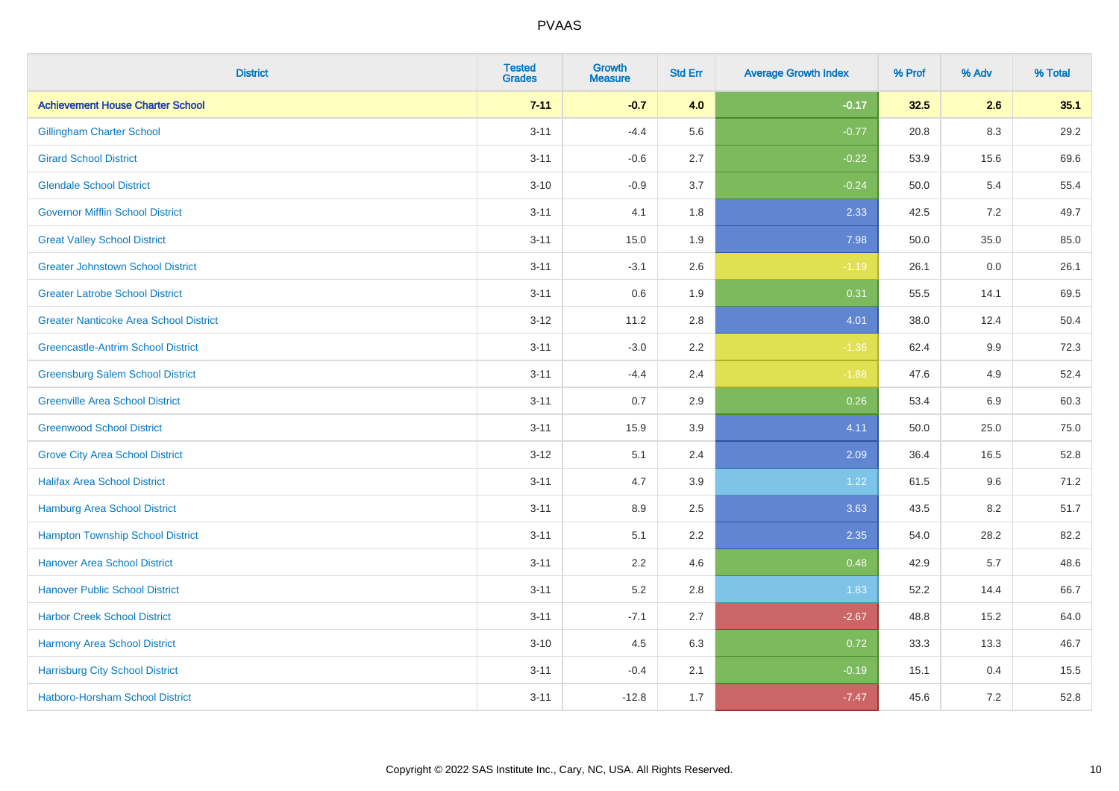| <b>District</b>                               | <b>Tested</b><br><b>Grades</b> | <b>Growth</b><br><b>Measure</b> | <b>Std Err</b> | <b>Average Growth Index</b> | % Prof | % Adv | % Total |
|-----------------------------------------------|--------------------------------|---------------------------------|----------------|-----------------------------|--------|-------|---------|
| <b>Achievement House Charter School</b>       | $7 - 11$                       | $-0.7$                          | 4.0            | $-0.17$                     | 32.5   | 2.6   | 35.1    |
| <b>Gillingham Charter School</b>              | $3 - 11$                       | $-4.4$                          | 5.6            | $-0.77$                     | 20.8   | 8.3   | 29.2    |
| <b>Girard School District</b>                 | $3 - 11$                       | $-0.6$                          | 2.7            | $-0.22$                     | 53.9   | 15.6  | 69.6    |
| <b>Glendale School District</b>               | $3 - 10$                       | $-0.9$                          | 3.7            | $-0.24$                     | 50.0   | 5.4   | 55.4    |
| <b>Governor Mifflin School District</b>       | $3 - 11$                       | 4.1                             | 1.8            | 2.33                        | 42.5   | 7.2   | 49.7    |
| <b>Great Valley School District</b>           | $3 - 11$                       | 15.0                            | 1.9            | 7.98                        | 50.0   | 35.0  | 85.0    |
| <b>Greater Johnstown School District</b>      | $3 - 11$                       | $-3.1$                          | 2.6            | $-1.19$                     | 26.1   | 0.0   | 26.1    |
| <b>Greater Latrobe School District</b>        | $3 - 11$                       | 0.6                             | 1.9            | 0.31                        | 55.5   | 14.1  | 69.5    |
| <b>Greater Nanticoke Area School District</b> | $3 - 12$                       | 11.2                            | 2.8            | 4.01                        | 38.0   | 12.4  | 50.4    |
| <b>Greencastle-Antrim School District</b>     | $3 - 11$                       | $-3.0$                          | 2.2            | $-1.36$                     | 62.4   | 9.9   | 72.3    |
| <b>Greensburg Salem School District</b>       | $3 - 11$                       | $-4.4$                          | 2.4            | $-1.88$                     | 47.6   | 4.9   | 52.4    |
| <b>Greenville Area School District</b>        | $3 - 11$                       | 0.7                             | 2.9            | 0.26                        | 53.4   | 6.9   | 60.3    |
| <b>Greenwood School District</b>              | $3 - 11$                       | 15.9                            | 3.9            | 4.11                        | 50.0   | 25.0  | 75.0    |
| <b>Grove City Area School District</b>        | $3 - 12$                       | 5.1                             | 2.4            | 2.09                        | 36.4   | 16.5  | 52.8    |
| <b>Halifax Area School District</b>           | $3 - 11$                       | 4.7                             | 3.9            | 1.22                        | 61.5   | 9.6   | 71.2    |
| <b>Hamburg Area School District</b>           | $3 - 11$                       | 8.9                             | 2.5            | 3.63                        | 43.5   | 8.2   | 51.7    |
| <b>Hampton Township School District</b>       | $3 - 11$                       | 5.1                             | 2.2            | 2.35                        | 54.0   | 28.2  | 82.2    |
| <b>Hanover Area School District</b>           | $3 - 11$                       | 2.2                             | 4.6            | 0.48                        | 42.9   | 5.7   | 48.6    |
| <b>Hanover Public School District</b>         | $3 - 11$                       | 5.2                             | 2.8            | 1.83                        | 52.2   | 14.4  | 66.7    |
| <b>Harbor Creek School District</b>           | $3 - 11$                       | $-7.1$                          | 2.7            | $-2.67$                     | 48.8   | 15.2  | 64.0    |
| Harmony Area School District                  | $3 - 10$                       | 4.5                             | 6.3            | 0.72                        | 33.3   | 13.3  | 46.7    |
| <b>Harrisburg City School District</b>        | $3 - 11$                       | $-0.4$                          | 2.1            | $-0.19$                     | 15.1   | 0.4   | 15.5    |
| <b>Hatboro-Horsham School District</b>        | $3 - 11$                       | $-12.8$                         | 1.7            | $-7.47$                     | 45.6   | 7.2   | 52.8    |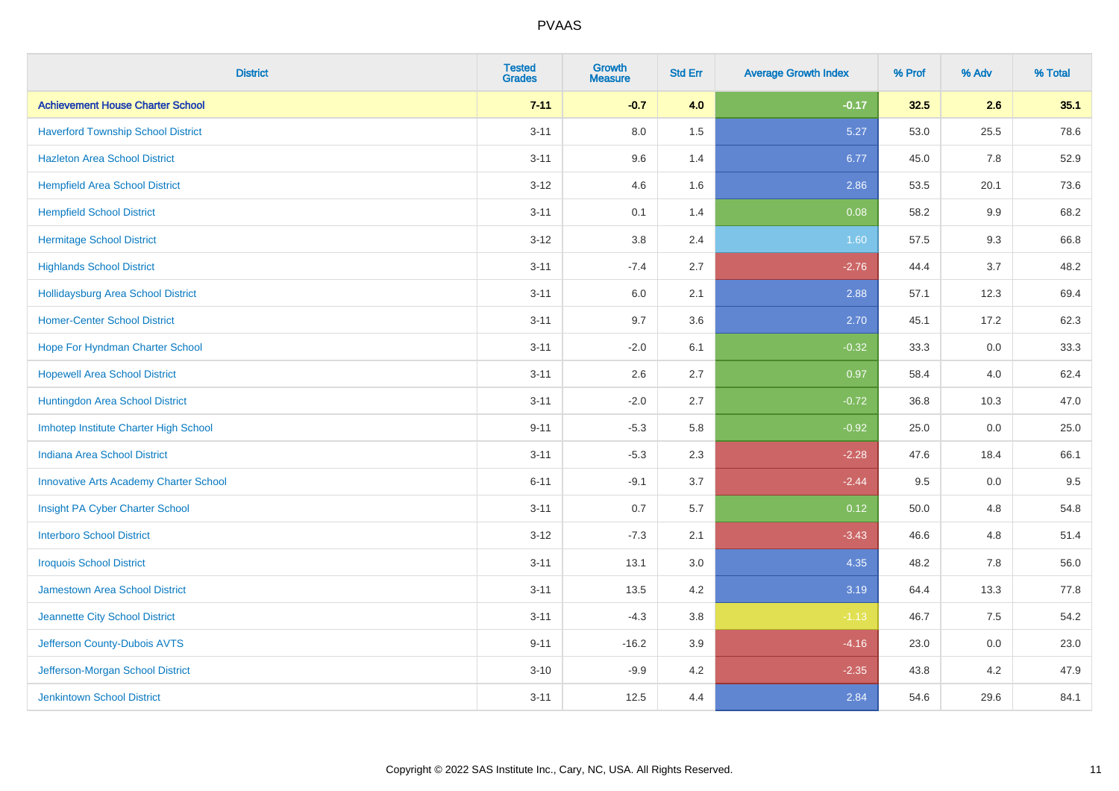| <b>District</b>                               | <b>Tested</b><br><b>Grades</b> | <b>Growth</b><br><b>Measure</b> | <b>Std Err</b> | <b>Average Growth Index</b> | % Prof | % Adv   | % Total |
|-----------------------------------------------|--------------------------------|---------------------------------|----------------|-----------------------------|--------|---------|---------|
| <b>Achievement House Charter School</b>       | $7 - 11$                       | $-0.7$                          | 4.0            | $-0.17$                     | 32.5   | 2.6     | 35.1    |
| <b>Haverford Township School District</b>     | $3 - 11$                       | 8.0                             | 1.5            | 5.27                        | 53.0   | 25.5    | 78.6    |
| <b>Hazleton Area School District</b>          | $3 - 11$                       | 9.6                             | 1.4            | 6.77                        | 45.0   | 7.8     | 52.9    |
| <b>Hempfield Area School District</b>         | $3-12$                         | 4.6                             | 1.6            | 2.86                        | 53.5   | 20.1    | 73.6    |
| <b>Hempfield School District</b>              | $3 - 11$                       | 0.1                             | 1.4            | 0.08                        | 58.2   | 9.9     | 68.2    |
| <b>Hermitage School District</b>              | $3 - 12$                       | 3.8                             | 2.4            | 1.60                        | 57.5   | 9.3     | 66.8    |
| <b>Highlands School District</b>              | $3 - 11$                       | $-7.4$                          | 2.7            | $-2.76$                     | 44.4   | 3.7     | 48.2    |
| <b>Hollidaysburg Area School District</b>     | $3 - 11$                       | 6.0                             | 2.1            | 2.88                        | 57.1   | 12.3    | 69.4    |
| <b>Homer-Center School District</b>           | $3 - 11$                       | 9.7                             | 3.6            | 2.70                        | 45.1   | 17.2    | 62.3    |
| Hope For Hyndman Charter School               | $3 - 11$                       | $-2.0$                          | 6.1            | $-0.32$                     | 33.3   | 0.0     | 33.3    |
| <b>Hopewell Area School District</b>          | $3 - 11$                       | 2.6                             | 2.7            | 0.97                        | 58.4   | 4.0     | 62.4    |
| Huntingdon Area School District               | $3 - 11$                       | $-2.0$                          | 2.7            | $-0.72$                     | 36.8   | 10.3    | 47.0    |
| Imhotep Institute Charter High School         | $9 - 11$                       | $-5.3$                          | 5.8            | $-0.92$                     | 25.0   | $0.0\,$ | 25.0    |
| Indiana Area School District                  | $3 - 11$                       | $-5.3$                          | 2.3            | $-2.28$                     | 47.6   | 18.4    | 66.1    |
| <b>Innovative Arts Academy Charter School</b> | $6 - 11$                       | $-9.1$                          | 3.7            | $-2.44$                     | 9.5    | $0.0\,$ | 9.5     |
| Insight PA Cyber Charter School               | $3 - 11$                       | 0.7                             | 5.7            | 0.12                        | 50.0   | 4.8     | 54.8    |
| <b>Interboro School District</b>              | $3 - 12$                       | $-7.3$                          | 2.1            | $-3.43$                     | 46.6   | 4.8     | 51.4    |
| <b>Iroquois School District</b>               | $3 - 11$                       | 13.1                            | 3.0            | 4.35                        | 48.2   | 7.8     | 56.0    |
| <b>Jamestown Area School District</b>         | $3 - 11$                       | 13.5                            | 4.2            | 3.19                        | 64.4   | 13.3    | 77.8    |
| Jeannette City School District                | $3 - 11$                       | $-4.3$                          | $3.8\,$        | $-1.13$                     | 46.7   | 7.5     | 54.2    |
| Jefferson County-Dubois AVTS                  | $9 - 11$                       | $-16.2$                         | 3.9            | $-4.16$                     | 23.0   | 0.0     | 23.0    |
| Jefferson-Morgan School District              | $3 - 10$                       | $-9.9$                          | 4.2            | $-2.35$                     | 43.8   | 4.2     | 47.9    |
| <b>Jenkintown School District</b>             | $3 - 11$                       | 12.5                            | 4.4            | 2.84                        | 54.6   | 29.6    | 84.1    |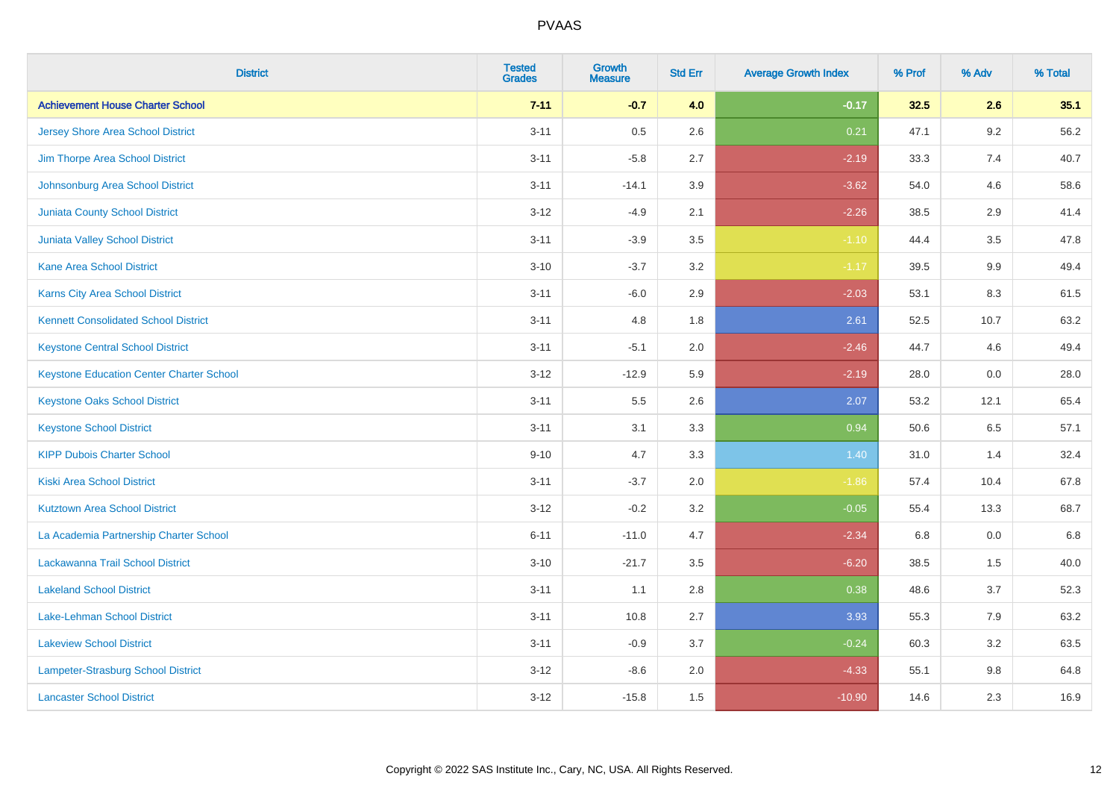| <b>District</b>                                 | <b>Tested</b><br><b>Grades</b> | <b>Growth</b><br><b>Measure</b> | <b>Std Err</b> | <b>Average Growth Index</b> | % Prof | % Adv   | % Total |
|-------------------------------------------------|--------------------------------|---------------------------------|----------------|-----------------------------|--------|---------|---------|
| <b>Achievement House Charter School</b>         | $7 - 11$                       | $-0.7$                          | 4.0            | $-0.17$                     | 32.5   | 2.6     | 35.1    |
| <b>Jersey Shore Area School District</b>        | $3 - 11$                       | 0.5                             | 2.6            | 0.21                        | 47.1   | $9.2\,$ | 56.2    |
| Jim Thorpe Area School District                 | $3 - 11$                       | $-5.8$                          | 2.7            | $-2.19$                     | 33.3   | 7.4     | 40.7    |
| Johnsonburg Area School District                | $3 - 11$                       | $-14.1$                         | 3.9            | $-3.62$                     | 54.0   | 4.6     | 58.6    |
| <b>Juniata County School District</b>           | $3 - 12$                       | $-4.9$                          | 2.1            | $-2.26$                     | 38.5   | 2.9     | 41.4    |
| <b>Juniata Valley School District</b>           | $3 - 11$                       | $-3.9$                          | 3.5            | $-1.10$                     | 44.4   | 3.5     | 47.8    |
| <b>Kane Area School District</b>                | $3 - 10$                       | $-3.7$                          | 3.2            | $-1.17$                     | 39.5   | 9.9     | 49.4    |
| <b>Karns City Area School District</b>          | $3 - 11$                       | $-6.0$                          | 2.9            | $-2.03$                     | 53.1   | 8.3     | 61.5    |
| <b>Kennett Consolidated School District</b>     | $3 - 11$                       | 4.8                             | 1.8            | 2.61                        | 52.5   | 10.7    | 63.2    |
| <b>Keystone Central School District</b>         | $3 - 11$                       | $-5.1$                          | 2.0            | $-2.46$                     | 44.7   | 4.6     | 49.4    |
| <b>Keystone Education Center Charter School</b> | $3 - 12$                       | $-12.9$                         | 5.9            | $-2.19$                     | 28.0   | 0.0     | 28.0    |
| <b>Keystone Oaks School District</b>            | $3 - 11$                       | 5.5                             | 2.6            | 2.07                        | 53.2   | 12.1    | 65.4    |
| <b>Keystone School District</b>                 | $3 - 11$                       | 3.1                             | 3.3            | 0.94                        | 50.6   | 6.5     | 57.1    |
| <b>KIPP Dubois Charter School</b>               | $9 - 10$                       | 4.7                             | 3.3            | 1.40                        | 31.0   | 1.4     | 32.4    |
| <b>Kiski Area School District</b>               | $3 - 11$                       | $-3.7$                          | 2.0            | $-1.86$                     | 57.4   | 10.4    | 67.8    |
| <b>Kutztown Area School District</b>            | $3 - 12$                       | $-0.2$                          | 3.2            | $-0.05$                     | 55.4   | 13.3    | 68.7    |
| La Academia Partnership Charter School          | $6 - 11$                       | $-11.0$                         | 4.7            | $-2.34$                     | 6.8    | 0.0     | 6.8     |
| Lackawanna Trail School District                | $3 - 10$                       | $-21.7$                         | 3.5            | $-6.20$                     | 38.5   | 1.5     | 40.0    |
| <b>Lakeland School District</b>                 | $3 - 11$                       | 1.1                             | 2.8            | 0.38                        | 48.6   | 3.7     | 52.3    |
| Lake-Lehman School District                     | $3 - 11$                       | 10.8                            | 2.7            | 3.93                        | 55.3   | 7.9     | 63.2    |
| <b>Lakeview School District</b>                 | $3 - 11$                       | $-0.9$                          | 3.7            | $-0.24$                     | 60.3   | 3.2     | 63.5    |
| Lampeter-Strasburg School District              | $3 - 12$                       | $-8.6$                          | 2.0            | $-4.33$                     | 55.1   | $9.8\,$ | 64.8    |
| <b>Lancaster School District</b>                | $3 - 12$                       | $-15.8$                         | 1.5            | $-10.90$                    | 14.6   | 2.3     | 16.9    |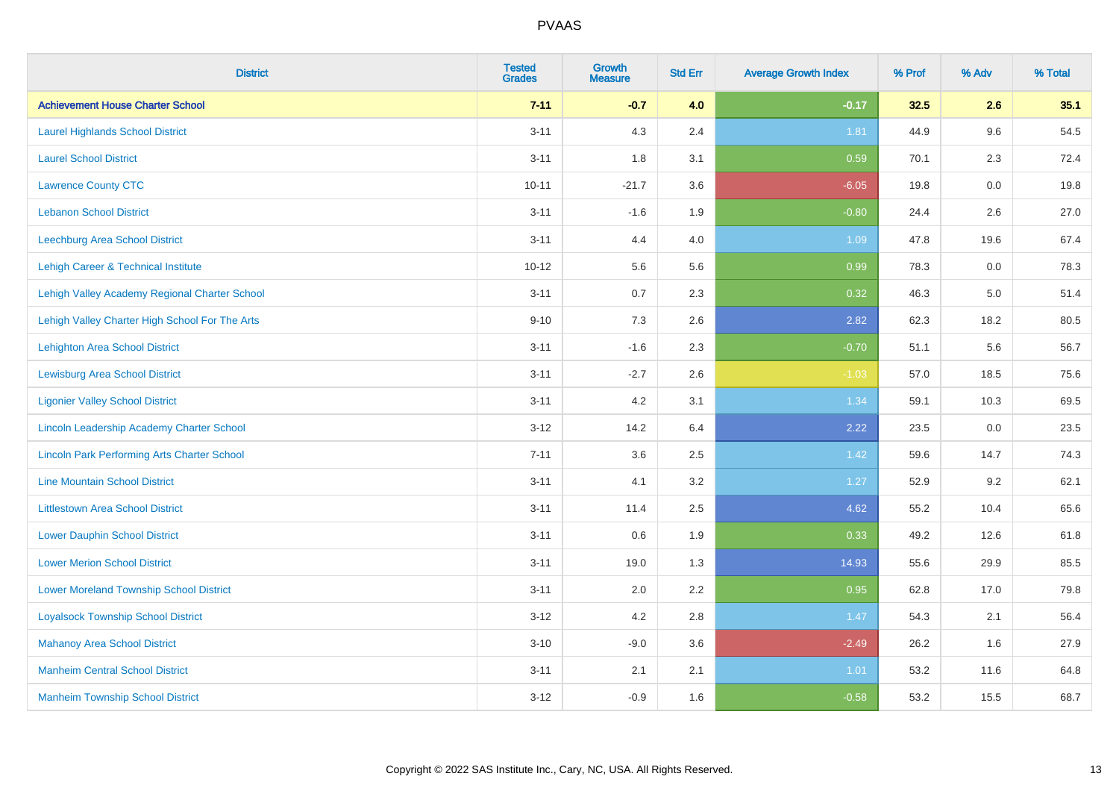| <b>District</b>                                    | <b>Tested</b><br><b>Grades</b> | Growth<br><b>Measure</b> | <b>Std Err</b> | <b>Average Growth Index</b> | % Prof | % Adv   | % Total |
|----------------------------------------------------|--------------------------------|--------------------------|----------------|-----------------------------|--------|---------|---------|
| <b>Achievement House Charter School</b>            | $7 - 11$                       | $-0.7$                   | 4.0            | $-0.17$                     | 32.5   | 2.6     | 35.1    |
| <b>Laurel Highlands School District</b>            | $3 - 11$                       | 4.3                      | 2.4            | 1.81                        | 44.9   | 9.6     | 54.5    |
| <b>Laurel School District</b>                      | $3 - 11$                       | 1.8                      | 3.1            | 0.59                        | 70.1   | 2.3     | 72.4    |
| <b>Lawrence County CTC</b>                         | $10 - 11$                      | $-21.7$                  | 3.6            | $-6.05$                     | 19.8   | $0.0\,$ | 19.8    |
| <b>Lebanon School District</b>                     | $3 - 11$                       | $-1.6$                   | 1.9            | $-0.80$                     | 24.4   | 2.6     | 27.0    |
| Leechburg Area School District                     | $3 - 11$                       | 4.4                      | 4.0            | 1.09                        | 47.8   | 19.6    | 67.4    |
| Lehigh Career & Technical Institute                | $10 - 12$                      | 5.6                      | 5.6            | 0.99                        | 78.3   | 0.0     | 78.3    |
| Lehigh Valley Academy Regional Charter School      | $3 - 11$                       | 0.7                      | 2.3            | 0.32                        | 46.3   | 5.0     | 51.4    |
| Lehigh Valley Charter High School For The Arts     | $9 - 10$                       | 7.3                      | 2.6            | 2.82                        | 62.3   | 18.2    | 80.5    |
| <b>Lehighton Area School District</b>              | $3 - 11$                       | $-1.6$                   | 2.3            | $-0.70$                     | 51.1   | 5.6     | 56.7    |
| <b>Lewisburg Area School District</b>              | $3 - 11$                       | $-2.7$                   | 2.6            | $-1.03$                     | 57.0   | 18.5    | 75.6    |
| <b>Ligonier Valley School District</b>             | $3 - 11$                       | 4.2                      | 3.1            | 1.34                        | 59.1   | 10.3    | 69.5    |
| Lincoln Leadership Academy Charter School          | $3 - 12$                       | 14.2                     | 6.4            | 2.22                        | 23.5   | 0.0     | 23.5    |
| <b>Lincoln Park Performing Arts Charter School</b> | $7 - 11$                       | 3.6                      | 2.5            | 1.42                        | 59.6   | 14.7    | 74.3    |
| <b>Line Mountain School District</b>               | $3 - 11$                       | 4.1                      | 3.2            | 1.27                        | 52.9   | 9.2     | 62.1    |
| <b>Littlestown Area School District</b>            | $3 - 11$                       | 11.4                     | 2.5            | 4.62                        | 55.2   | 10.4    | 65.6    |
| <b>Lower Dauphin School District</b>               | $3 - 11$                       | 0.6                      | 1.9            | 0.33                        | 49.2   | 12.6    | 61.8    |
| <b>Lower Merion School District</b>                | $3 - 11$                       | 19.0                     | 1.3            | 14.93                       | 55.6   | 29.9    | 85.5    |
| <b>Lower Moreland Township School District</b>     | $3 - 11$                       | 2.0                      | 2.2            | 0.95                        | 62.8   | 17.0    | 79.8    |
| <b>Loyalsock Township School District</b>          | $3 - 12$                       | 4.2                      | 2.8            | 1.47                        | 54.3   | 2.1     | 56.4    |
| <b>Mahanoy Area School District</b>                | $3 - 10$                       | $-9.0$                   | 3.6            | $-2.49$                     | 26.2   | 1.6     | 27.9    |
| <b>Manheim Central School District</b>             | $3 - 11$                       | 2.1                      | 2.1            | 1.01                        | 53.2   | 11.6    | 64.8    |
| <b>Manheim Township School District</b>            | $3 - 12$                       | $-0.9$                   | 1.6            | $-0.58$                     | 53.2   | 15.5    | 68.7    |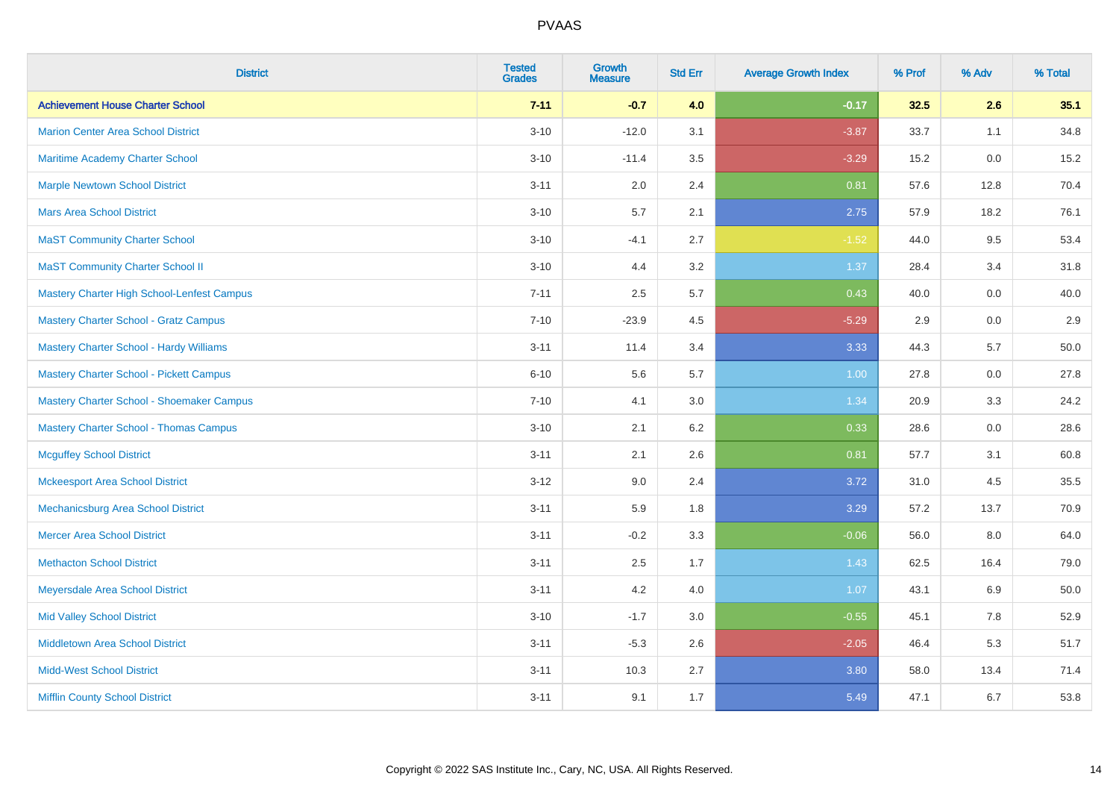| <b>District</b>                                | <b>Tested</b><br><b>Grades</b> | <b>Growth</b><br><b>Measure</b> | <b>Std Err</b> | <b>Average Growth Index</b> | % Prof | % Adv | % Total |
|------------------------------------------------|--------------------------------|---------------------------------|----------------|-----------------------------|--------|-------|---------|
| <b>Achievement House Charter School</b>        | $7 - 11$                       | $-0.7$                          | 4.0            | $-0.17$                     | 32.5   | 2.6   | 35.1    |
| <b>Marion Center Area School District</b>      | $3 - 10$                       | $-12.0$                         | 3.1            | $-3.87$                     | 33.7   | 1.1   | 34.8    |
| <b>Maritime Academy Charter School</b>         | $3 - 10$                       | $-11.4$                         | 3.5            | $-3.29$                     | 15.2   | 0.0   | 15.2    |
| <b>Marple Newtown School District</b>          | $3 - 11$                       | 2.0                             | 2.4            | 0.81                        | 57.6   | 12.8  | 70.4    |
| <b>Mars Area School District</b>               | $3 - 10$                       | 5.7                             | 2.1            | 2.75                        | 57.9   | 18.2  | 76.1    |
| <b>MaST Community Charter School</b>           | $3 - 10$                       | $-4.1$                          | 2.7            | $-1.52$                     | 44.0   | 9.5   | 53.4    |
| <b>MaST Community Charter School II</b>        | $3 - 10$                       | 4.4                             | 3.2            | 1.37                        | 28.4   | 3.4   | 31.8    |
| Mastery Charter High School-Lenfest Campus     | $7 - 11$                       | 2.5                             | 5.7            | 0.43                        | 40.0   | 0.0   | 40.0    |
| <b>Mastery Charter School - Gratz Campus</b>   | $7 - 10$                       | $-23.9$                         | 4.5            | $-5.29$                     | 2.9    | 0.0   | $2.9\,$ |
| <b>Mastery Charter School - Hardy Williams</b> | $3 - 11$                       | 11.4                            | 3.4            | 3.33                        | 44.3   | 5.7   | 50.0    |
| <b>Mastery Charter School - Pickett Campus</b> | $6 - 10$                       | 5.6                             | 5.7            | 1.00                        | 27.8   | 0.0   | 27.8    |
| Mastery Charter School - Shoemaker Campus      | $7 - 10$                       | 4.1                             | 3.0            | 1.34                        | 20.9   | 3.3   | 24.2    |
| <b>Mastery Charter School - Thomas Campus</b>  | $3 - 10$                       | 2.1                             | 6.2            | 0.33                        | 28.6   | 0.0   | 28.6    |
| <b>Mcguffey School District</b>                | $3 - 11$                       | 2.1                             | 2.6            | 0.81                        | 57.7   | 3.1   | 60.8    |
| <b>Mckeesport Area School District</b>         | $3 - 12$                       | 9.0                             | 2.4            | 3.72                        | 31.0   | 4.5   | 35.5    |
| Mechanicsburg Area School District             | $3 - 11$                       | 5.9                             | 1.8            | 3.29                        | 57.2   | 13.7  | 70.9    |
| <b>Mercer Area School District</b>             | $3 - 11$                       | $-0.2$                          | 3.3            | $-0.06$                     | 56.0   | 8.0   | 64.0    |
| <b>Methacton School District</b>               | $3 - 11$                       | 2.5                             | 1.7            | 1.43                        | 62.5   | 16.4  | 79.0    |
| Meyersdale Area School District                | $3 - 11$                       | 4.2                             | 4.0            | 1.07                        | 43.1   | 6.9   | 50.0    |
| <b>Mid Valley School District</b>              | $3 - 10$                       | $-1.7$                          | 3.0            | $-0.55$                     | 45.1   | 7.8   | 52.9    |
| <b>Middletown Area School District</b>         | $3 - 11$                       | $-5.3$                          | 2.6            | $-2.05$                     | 46.4   | 5.3   | 51.7    |
| <b>Midd-West School District</b>               | $3 - 11$                       | 10.3                            | 2.7            | 3.80                        | 58.0   | 13.4  | 71.4    |
| <b>Mifflin County School District</b>          | $3 - 11$                       | 9.1                             | 1.7            | 5.49                        | 47.1   | 6.7   | 53.8    |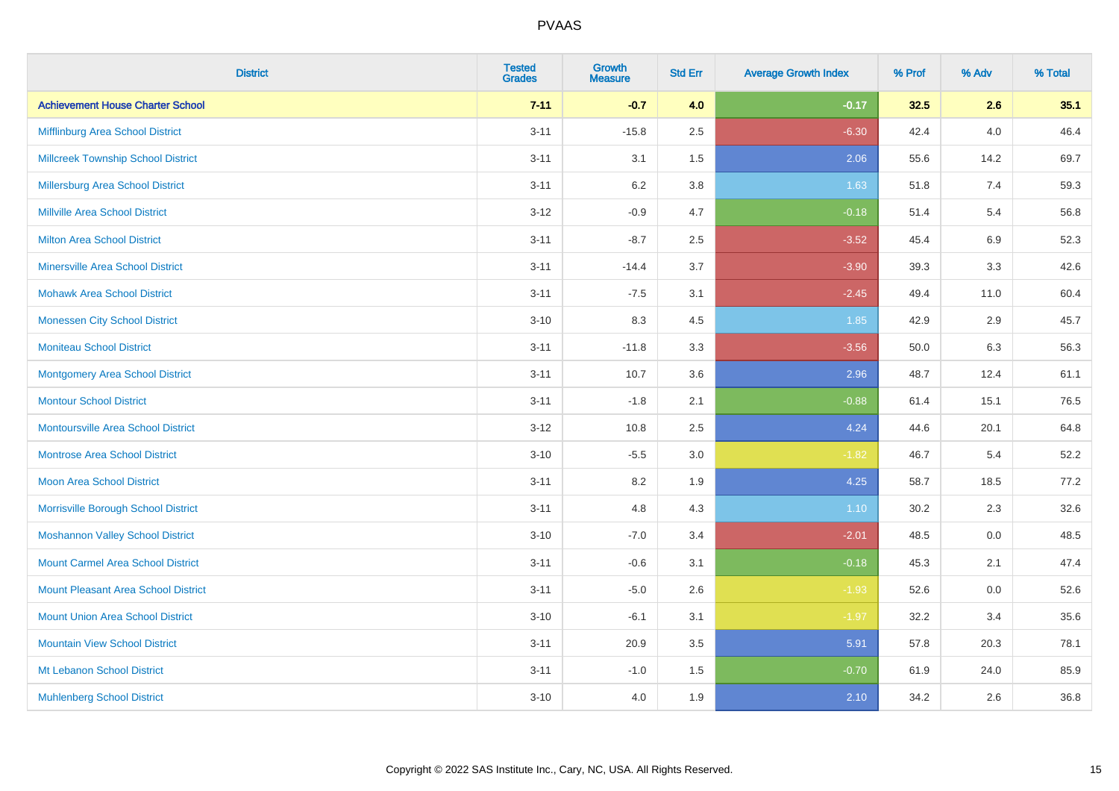| <b>District</b>                           | <b>Tested</b><br><b>Grades</b> | <b>Growth</b><br><b>Measure</b> | <b>Std Err</b> | <b>Average Growth Index</b> | % Prof | % Adv   | % Total |
|-------------------------------------------|--------------------------------|---------------------------------|----------------|-----------------------------|--------|---------|---------|
| <b>Achievement House Charter School</b>   | $7 - 11$                       | $-0.7$                          | 4.0            | $-0.17$                     | 32.5   | 2.6     | 35.1    |
| Mifflinburg Area School District          | $3 - 11$                       | $-15.8$                         | 2.5            | $-6.30$                     | 42.4   | 4.0     | 46.4    |
| <b>Millcreek Township School District</b> | $3 - 11$                       | 3.1                             | 1.5            | 2.06                        | 55.6   | 14.2    | 69.7    |
| Millersburg Area School District          | $3 - 11$                       | 6.2                             | 3.8            | 1.63                        | 51.8   | 7.4     | 59.3    |
| <b>Millville Area School District</b>     | $3-12$                         | $-0.9$                          | 4.7            | $-0.18$                     | 51.4   | 5.4     | 56.8    |
| <b>Milton Area School District</b>        | $3 - 11$                       | $-8.7$                          | 2.5            | $-3.52$                     | 45.4   | 6.9     | 52.3    |
| <b>Minersville Area School District</b>   | $3 - 11$                       | $-14.4$                         | 3.7            | $-3.90$                     | 39.3   | 3.3     | 42.6    |
| <b>Mohawk Area School District</b>        | $3 - 11$                       | $-7.5$                          | 3.1            | $-2.45$                     | 49.4   | 11.0    | 60.4    |
| <b>Monessen City School District</b>      | $3 - 10$                       | 8.3                             | 4.5            | 1.85                        | 42.9   | 2.9     | 45.7    |
| <b>Moniteau School District</b>           | $3 - 11$                       | $-11.8$                         | 3.3            | $-3.56$                     | 50.0   | 6.3     | 56.3    |
| Montgomery Area School District           | $3 - 11$                       | 10.7                            | 3.6            | 2.96                        | 48.7   | 12.4    | 61.1    |
| <b>Montour School District</b>            | $3 - 11$                       | $-1.8$                          | 2.1            | $-0.88$                     | 61.4   | 15.1    | 76.5    |
| <b>Montoursville Area School District</b> | $3-12$                         | 10.8                            | 2.5            | 4.24                        | 44.6   | 20.1    | 64.8    |
| <b>Montrose Area School District</b>      | $3 - 10$                       | $-5.5$                          | $3.0\,$        | $-1.82$                     | 46.7   | 5.4     | 52.2    |
| Moon Area School District                 | $3 - 11$                       | 8.2                             | 1.9            | 4.25                        | 58.7   | 18.5    | 77.2    |
| Morrisville Borough School District       | $3 - 11$                       | 4.8                             | 4.3            | 1.10                        | 30.2   | 2.3     | 32.6    |
| <b>Moshannon Valley School District</b>   | $3 - 10$                       | $-7.0$                          | 3.4            | $-2.01$                     | 48.5   | $0.0\,$ | 48.5    |
| <b>Mount Carmel Area School District</b>  | $3 - 11$                       | $-0.6$                          | 3.1            | $-0.18$                     | 45.3   | 2.1     | 47.4    |
| Mount Pleasant Area School District       | $3 - 11$                       | $-5.0$                          | 2.6            | $-1.93$                     | 52.6   | 0.0     | 52.6    |
| <b>Mount Union Area School District</b>   | $3 - 10$                       | $-6.1$                          | 3.1            | $-1.97$                     | 32.2   | 3.4     | 35.6    |
| <b>Mountain View School District</b>      | $3 - 11$                       | 20.9                            | 3.5            | 5.91                        | 57.8   | 20.3    | 78.1    |
| Mt Lebanon School District                | $3 - 11$                       | $-1.0$                          | 1.5            | $-0.70$                     | 61.9   | 24.0    | 85.9    |
| <b>Muhlenberg School District</b>         | $3 - 10$                       | 4.0                             | 1.9            | 2.10                        | 34.2   | 2.6     | 36.8    |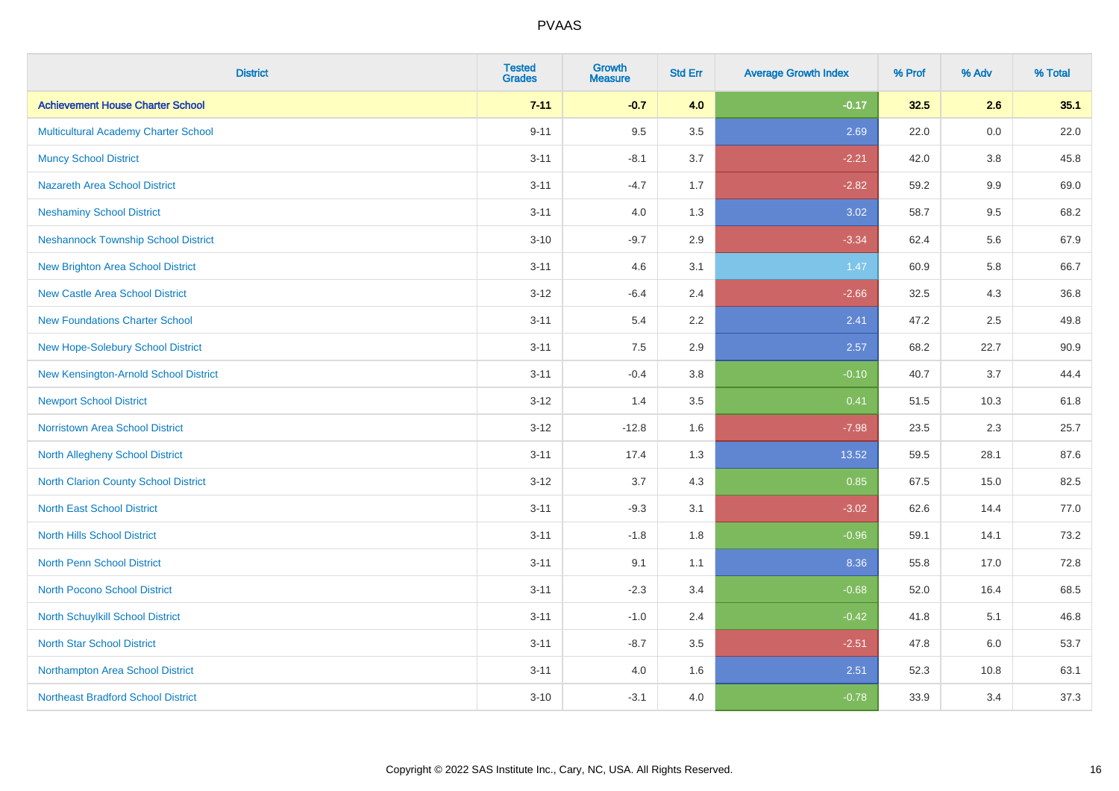| <b>District</b>                            | <b>Tested</b><br><b>Grades</b> | <b>Growth</b><br><b>Measure</b> | <b>Std Err</b> | <b>Average Growth Index</b> | % Prof | % Adv   | % Total |
|--------------------------------------------|--------------------------------|---------------------------------|----------------|-----------------------------|--------|---------|---------|
| <b>Achievement House Charter School</b>    | $7 - 11$                       | $-0.7$                          | 4.0            | $-0.17$                     | 32.5   | 2.6     | 35.1    |
| Multicultural Academy Charter School       | $9 - 11$                       | 9.5                             | 3.5            | 2.69                        | 22.0   | 0.0     | 22.0    |
| <b>Muncy School District</b>               | $3 - 11$                       | $-8.1$                          | 3.7            | $-2.21$                     | 42.0   | 3.8     | 45.8    |
| <b>Nazareth Area School District</b>       | $3 - 11$                       | $-4.7$                          | 1.7            | $-2.82$                     | 59.2   | 9.9     | 69.0    |
| <b>Neshaminy School District</b>           | $3 - 11$                       | 4.0                             | 1.3            | 3.02                        | 58.7   | 9.5     | 68.2    |
| <b>Neshannock Township School District</b> | $3 - 10$                       | $-9.7$                          | 2.9            | $-3.34$                     | 62.4   | 5.6     | 67.9    |
| <b>New Brighton Area School District</b>   | $3 - 11$                       | 4.6                             | 3.1            | 1.47                        | 60.9   | 5.8     | 66.7    |
| <b>New Castle Area School District</b>     | $3-12$                         | $-6.4$                          | 2.4            | $-2.66$                     | 32.5   | 4.3     | 36.8    |
| <b>New Foundations Charter School</b>      | $3 - 11$                       | 5.4                             | 2.2            | 2.41                        | 47.2   | 2.5     | 49.8    |
| New Hope-Solebury School District          | $3 - 11$                       | 7.5                             | 2.9            | 2.57                        | 68.2   | 22.7    | 90.9    |
| New Kensington-Arnold School District      | $3 - 11$                       | $-0.4$                          | 3.8            | $-0.10$                     | 40.7   | 3.7     | 44.4    |
| <b>Newport School District</b>             | $3 - 12$                       | 1.4                             | 3.5            | 0.41                        | 51.5   | 10.3    | 61.8    |
| Norristown Area School District            | $3 - 12$                       | $-12.8$                         | 1.6            | $-7.98$                     | 23.5   | $2.3\,$ | 25.7    |
| <b>North Allegheny School District</b>     | $3 - 11$                       | 17.4                            | 1.3            | 13.52                       | 59.5   | 28.1    | 87.6    |
| North Clarion County School District       | $3 - 12$                       | 3.7                             | 4.3            | 0.85                        | 67.5   | 15.0    | 82.5    |
| <b>North East School District</b>          | $3 - 11$                       | $-9.3$                          | 3.1            | $-3.02$                     | 62.6   | 14.4    | 77.0    |
| <b>North Hills School District</b>         | $3 - 11$                       | $-1.8$                          | 1.8            | $-0.96$                     | 59.1   | 14.1    | 73.2    |
| <b>North Penn School District</b>          | $3 - 11$                       | 9.1                             | 1.1            | 8.36                        | 55.8   | 17.0    | 72.8    |
| <b>North Pocono School District</b>        | $3 - 11$                       | $-2.3$                          | 3.4            | $-0.68$                     | 52.0   | 16.4    | 68.5    |
| <b>North Schuylkill School District</b>    | $3 - 11$                       | $-1.0$                          | 2.4            | $-0.42$                     | 41.8   | 5.1     | 46.8    |
| <b>North Star School District</b>          | $3 - 11$                       | $-8.7$                          | 3.5            | $-2.51$                     | 47.8   | 6.0     | 53.7    |
| Northampton Area School District           | $3 - 11$                       | 4.0                             | 1.6            | 2.51                        | 52.3   | 10.8    | 63.1    |
| <b>Northeast Bradford School District</b>  | $3 - 10$                       | $-3.1$                          | 4.0            | $-0.78$                     | 33.9   | 3.4     | 37.3    |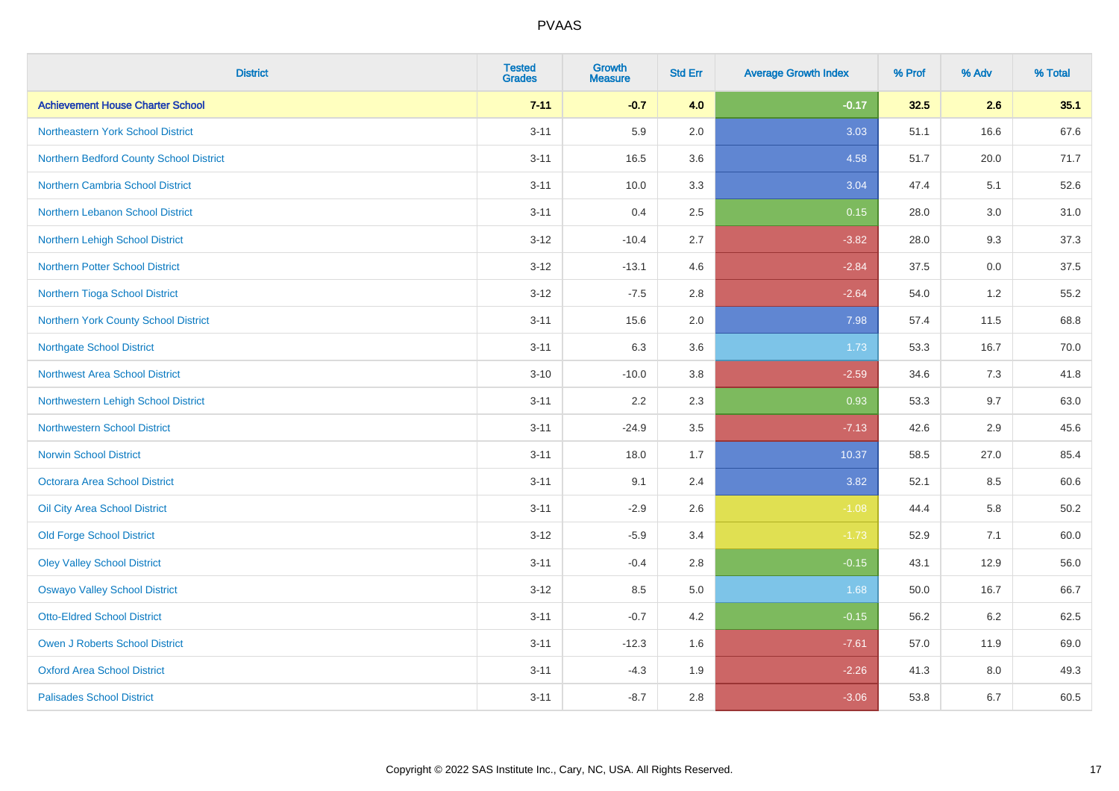| <b>District</b>                         | <b>Tested</b><br><b>Grades</b> | <b>Growth</b><br><b>Measure</b> | <b>Std Err</b> | <b>Average Growth Index</b> | % Prof | % Adv | % Total  |
|-----------------------------------------|--------------------------------|---------------------------------|----------------|-----------------------------|--------|-------|----------|
| <b>Achievement House Charter School</b> | $7 - 11$                       | $-0.7$                          | 4.0            | $-0.17$                     | 32.5   | 2.6   | 35.1     |
| Northeastern York School District       | $3 - 11$                       | 5.9                             | 2.0            | 3.03                        | 51.1   | 16.6  | 67.6     |
| Northern Bedford County School District | $3 - 11$                       | 16.5                            | 3.6            | 4.58                        | 51.7   | 20.0  | 71.7     |
| <b>Northern Cambria School District</b> | $3 - 11$                       | 10.0                            | 3.3            | 3.04                        | 47.4   | 5.1   | 52.6     |
| Northern Lebanon School District        | $3 - 11$                       | 0.4                             | 2.5            | 0.15                        | 28.0   | 3.0   | 31.0     |
| Northern Lehigh School District         | $3 - 12$                       | $-10.4$                         | 2.7            | $-3.82$                     | 28.0   | 9.3   | 37.3     |
| <b>Northern Potter School District</b>  | $3 - 12$                       | $-13.1$                         | 4.6            | $-2.84$                     | 37.5   | 0.0   | 37.5     |
| Northern Tioga School District          | $3 - 12$                       | $-7.5$                          | 2.8            | $-2.64$                     | 54.0   | 1.2   | 55.2     |
| Northern York County School District    | $3 - 11$                       | 15.6                            | 2.0            | 7.98                        | 57.4   | 11.5  | 68.8     |
| <b>Northgate School District</b>        | $3 - 11$                       | 6.3                             | 3.6            | 1.73                        | 53.3   | 16.7  | 70.0     |
| <b>Northwest Area School District</b>   | $3 - 10$                       | $-10.0$                         | 3.8            | $-2.59$                     | 34.6   | 7.3   | 41.8     |
| Northwestern Lehigh School District     | $3 - 11$                       | 2.2                             | 2.3            | 0.93                        | 53.3   | 9.7   | 63.0     |
| <b>Northwestern School District</b>     | $3 - 11$                       | $-24.9$                         | 3.5            | $-7.13$                     | 42.6   | 2.9   | 45.6     |
| <b>Norwin School District</b>           | $3 - 11$                       | 18.0                            | 1.7            | 10.37                       | 58.5   | 27.0  | 85.4     |
| Octorara Area School District           | $3 - 11$                       | 9.1                             | 2.4            | 3.82                        | 52.1   | 8.5   | 60.6     |
| Oil City Area School District           | $3 - 11$                       | $-2.9$                          | 2.6            | $-1.08$                     | 44.4   | 5.8   | $50.2\,$ |
| <b>Old Forge School District</b>        | $3 - 12$                       | $-5.9$                          | 3.4            | $-1.73$                     | 52.9   | 7.1   | 60.0     |
| <b>Oley Valley School District</b>      | $3 - 11$                       | $-0.4$                          | 2.8            | $-0.15$                     | 43.1   | 12.9  | 56.0     |
| <b>Oswayo Valley School District</b>    | $3 - 12$                       | 8.5                             | 5.0            | 1.68                        | 50.0   | 16.7  | 66.7     |
| <b>Otto-Eldred School District</b>      | $3 - 11$                       | $-0.7$                          | 4.2            | $-0.15$                     | 56.2   | 6.2   | 62.5     |
| <b>Owen J Roberts School District</b>   | $3 - 11$                       | $-12.3$                         | 1.6            | $-7.61$                     | 57.0   | 11.9  | 69.0     |
| <b>Oxford Area School District</b>      | $3 - 11$                       | $-4.3$                          | 1.9            | $-2.26$                     | 41.3   | 8.0   | 49.3     |
| <b>Palisades School District</b>        | $3 - 11$                       | $-8.7$                          | 2.8            | $-3.06$                     | 53.8   | 6.7   | 60.5     |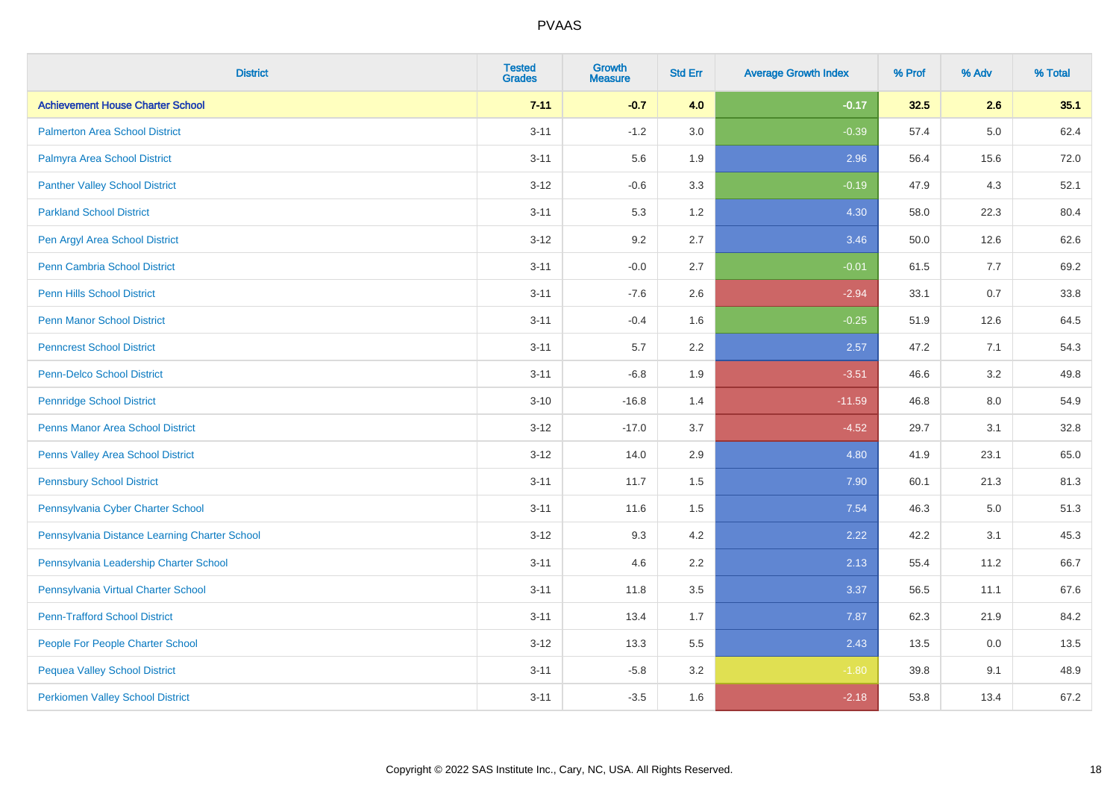| <b>District</b>                               | <b>Tested</b><br><b>Grades</b> | Growth<br><b>Measure</b> | <b>Std Err</b> | <b>Average Growth Index</b> | % Prof | % Adv   | % Total |
|-----------------------------------------------|--------------------------------|--------------------------|----------------|-----------------------------|--------|---------|---------|
| <b>Achievement House Charter School</b>       | $7 - 11$                       | $-0.7$                   | 4.0            | $-0.17$                     | 32.5   | 2.6     | 35.1    |
| <b>Palmerton Area School District</b>         | $3 - 11$                       | $-1.2$                   | 3.0            | $-0.39$                     | 57.4   | $5.0\,$ | 62.4    |
| Palmyra Area School District                  | $3 - 11$                       | 5.6                      | 1.9            | 2.96                        | 56.4   | 15.6    | 72.0    |
| <b>Panther Valley School District</b>         | $3 - 12$                       | $-0.6$                   | 3.3            | $-0.19$                     | 47.9   | 4.3     | 52.1    |
| <b>Parkland School District</b>               | $3 - 11$                       | 5.3                      | 1.2            | 4.30                        | 58.0   | 22.3    | 80.4    |
| Pen Argyl Area School District                | $3 - 12$                       | 9.2                      | 2.7            | 3.46                        | 50.0   | 12.6    | 62.6    |
| <b>Penn Cambria School District</b>           | $3 - 11$                       | $-0.0$                   | 2.7            | $-0.01$                     | 61.5   | 7.7     | 69.2    |
| <b>Penn Hills School District</b>             | $3 - 11$                       | $-7.6$                   | 2.6            | $-2.94$                     | 33.1   | 0.7     | 33.8    |
| <b>Penn Manor School District</b>             | $3 - 11$                       | $-0.4$                   | 1.6            | $-0.25$                     | 51.9   | 12.6    | 64.5    |
| <b>Penncrest School District</b>              | $3 - 11$                       | $5.7\,$                  | 2.2            | 2.57                        | 47.2   | 7.1     | 54.3    |
| <b>Penn-Delco School District</b>             | $3 - 11$                       | $-6.8$                   | 1.9            | $-3.51$                     | 46.6   | 3.2     | 49.8    |
| <b>Pennridge School District</b>              | $3 - 10$                       | $-16.8$                  | 1.4            | $-11.59$                    | 46.8   | 8.0     | 54.9    |
| Penns Manor Area School District              | $3 - 12$                       | $-17.0$                  | 3.7            | $-4.52$                     | 29.7   | 3.1     | 32.8    |
| Penns Valley Area School District             | $3 - 12$                       | 14.0                     | 2.9            | 4.80                        | 41.9   | 23.1    | 65.0    |
| <b>Pennsbury School District</b>              | $3 - 11$                       | 11.7                     | 1.5            | 7.90                        | 60.1   | 21.3    | 81.3    |
| Pennsylvania Cyber Charter School             | $3 - 11$                       | 11.6                     | 1.5            | 7.54                        | 46.3   | $5.0\,$ | 51.3    |
| Pennsylvania Distance Learning Charter School | $3 - 12$                       | 9.3                      | 4.2            | 2.22                        | 42.2   | 3.1     | 45.3    |
| Pennsylvania Leadership Charter School        | $3 - 11$                       | 4.6                      | 2.2            | 2.13                        | 55.4   | 11.2    | 66.7    |
| Pennsylvania Virtual Charter School           | $3 - 11$                       | 11.8                     | 3.5            | 3.37                        | 56.5   | 11.1    | 67.6    |
| <b>Penn-Trafford School District</b>          | $3 - 11$                       | 13.4                     | 1.7            | 7.87                        | 62.3   | 21.9    | 84.2    |
| People For People Charter School              | $3 - 12$                       | 13.3                     | 5.5            | 2.43                        | 13.5   | 0.0     | 13.5    |
| <b>Pequea Valley School District</b>          | $3 - 11$                       | $-5.8$                   | 3.2            | $-1.80$                     | 39.8   | 9.1     | 48.9    |
| <b>Perkiomen Valley School District</b>       | $3 - 11$                       | $-3.5$                   | 1.6            | $-2.18$                     | 53.8   | 13.4    | 67.2    |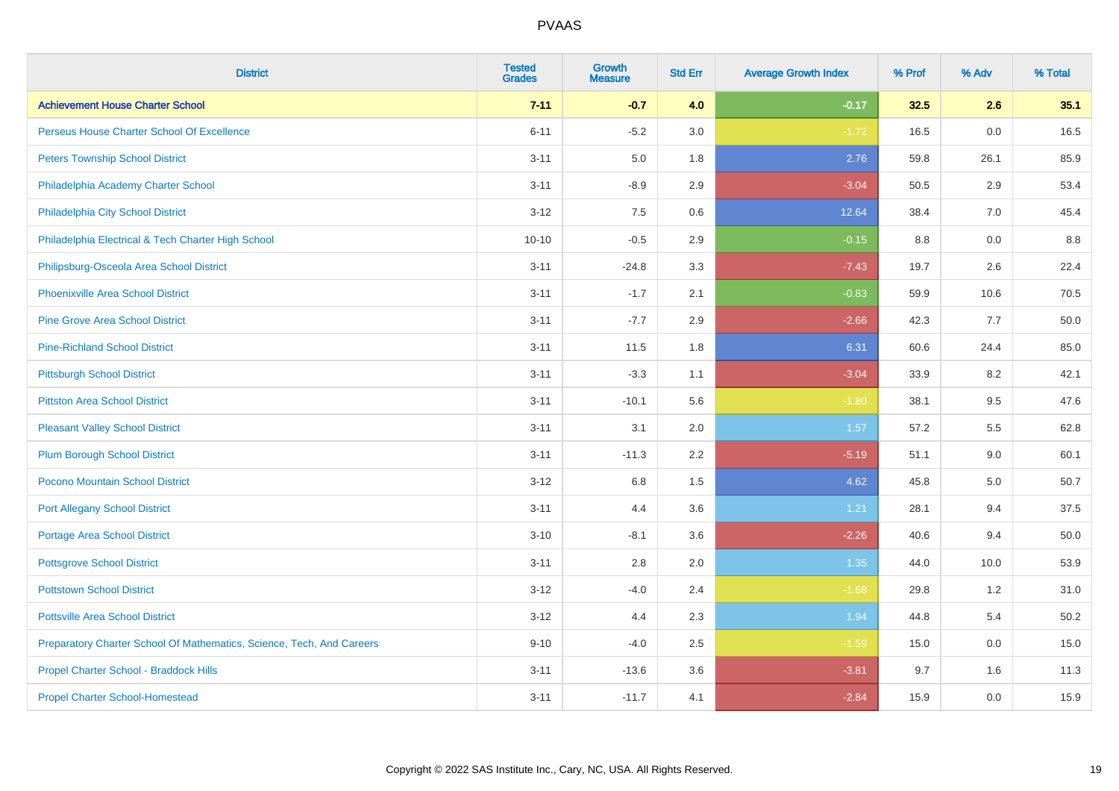| <b>District</b>                                                       | <b>Tested</b><br><b>Grades</b> | <b>Growth</b><br><b>Measure</b> | <b>Std Err</b> | <b>Average Growth Index</b> | % Prof  | % Adv | % Total |
|-----------------------------------------------------------------------|--------------------------------|---------------------------------|----------------|-----------------------------|---------|-------|---------|
| <b>Achievement House Charter School</b>                               | $7 - 11$                       | $-0.7$                          | 4.0            | $-0.17$                     | 32.5    | 2.6   | 35.1    |
| Perseus House Charter School Of Excellence                            | $6 - 11$                       | $-5.2$                          | 3.0            | $-1.72$                     | 16.5    | 0.0   | 16.5    |
| <b>Peters Township School District</b>                                | $3 - 11$                       | 5.0                             | 1.8            | 2.76                        | 59.8    | 26.1  | 85.9    |
| Philadelphia Academy Charter School                                   | $3 - 11$                       | $-8.9$                          | 2.9            | $-3.04$                     | 50.5    | 2.9   | 53.4    |
| Philadelphia City School District                                     | $3 - 12$                       | 7.5                             | 0.6            | 12.64                       | 38.4    | 7.0   | 45.4    |
| Philadelphia Electrical & Tech Charter High School                    | $10 - 10$                      | $-0.5$                          | 2.9            | $-0.15$                     | $8.8\,$ | 0.0   | 8.8     |
| Philipsburg-Osceola Area School District                              | $3 - 11$                       | $-24.8$                         | 3.3            | $-7.43$                     | 19.7    | 2.6   | 22.4    |
| <b>Phoenixville Area School District</b>                              | $3 - 11$                       | $-1.7$                          | 2.1            | $-0.83$                     | 59.9    | 10.6  | 70.5    |
| <b>Pine Grove Area School District</b>                                | $3 - 11$                       | $-7.7$                          | 2.9            | $-2.66$                     | 42.3    | 7.7   | 50.0    |
| <b>Pine-Richland School District</b>                                  | $3 - 11$                       | 11.5                            | 1.8            | 6.31                        | 60.6    | 24.4  | 85.0    |
| <b>Pittsburgh School District</b>                                     | $3 - 11$                       | $-3.3$                          | 1.1            | $-3.04$                     | 33.9    | 8.2   | 42.1    |
| <b>Pittston Area School District</b>                                  | $3 - 11$                       | $-10.1$                         | 5.6            | $-1.80$                     | 38.1    | 9.5   | 47.6    |
| <b>Pleasant Valley School District</b>                                | $3 - 11$                       | 3.1                             | 2.0            | 1.57                        | 57.2    | 5.5   | 62.8    |
| <b>Plum Borough School District</b>                                   | $3 - 11$                       | $-11.3$                         | 2.2            | $-5.19$                     | 51.1    | 9.0   | 60.1    |
| Pocono Mountain School District                                       | $3 - 12$                       | 6.8                             | 1.5            | 4.62                        | 45.8    | 5.0   | 50.7    |
| <b>Port Allegany School District</b>                                  | $3 - 11$                       | 4.4                             | 3.6            | 1.21                        | 28.1    | 9.4   | 37.5    |
| Portage Area School District                                          | $3 - 10$                       | $-8.1$                          | 3.6            | $-2.26$                     | 40.6    | 9.4   | 50.0    |
| <b>Pottsgrove School District</b>                                     | $3 - 11$                       | 2.8                             | 2.0            | 1.35                        | 44.0    | 10.0  | 53.9    |
| <b>Pottstown School District</b>                                      | $3 - 12$                       | $-4.0$                          | 2.4            | $-1.68$                     | 29.8    | 1.2   | 31.0    |
| <b>Pottsville Area School District</b>                                | $3 - 12$                       | 4.4                             | 2.3            | 1.94                        | 44.8    | 5.4   | 50.2    |
| Preparatory Charter School Of Mathematics, Science, Tech, And Careers | $9 - 10$                       | $-4.0$                          | 2.5            | $-1.59$                     | 15.0    | 0.0   | 15.0    |
| Propel Charter School - Braddock Hills                                | $3 - 11$                       | $-13.6$                         | 3.6            | $-3.81$                     | 9.7     | 1.6   | 11.3    |
| <b>Propel Charter School-Homestead</b>                                | $3 - 11$                       | $-11.7$                         | 4.1            | $-2.84$                     | 15.9    | 0.0   | 15.9    |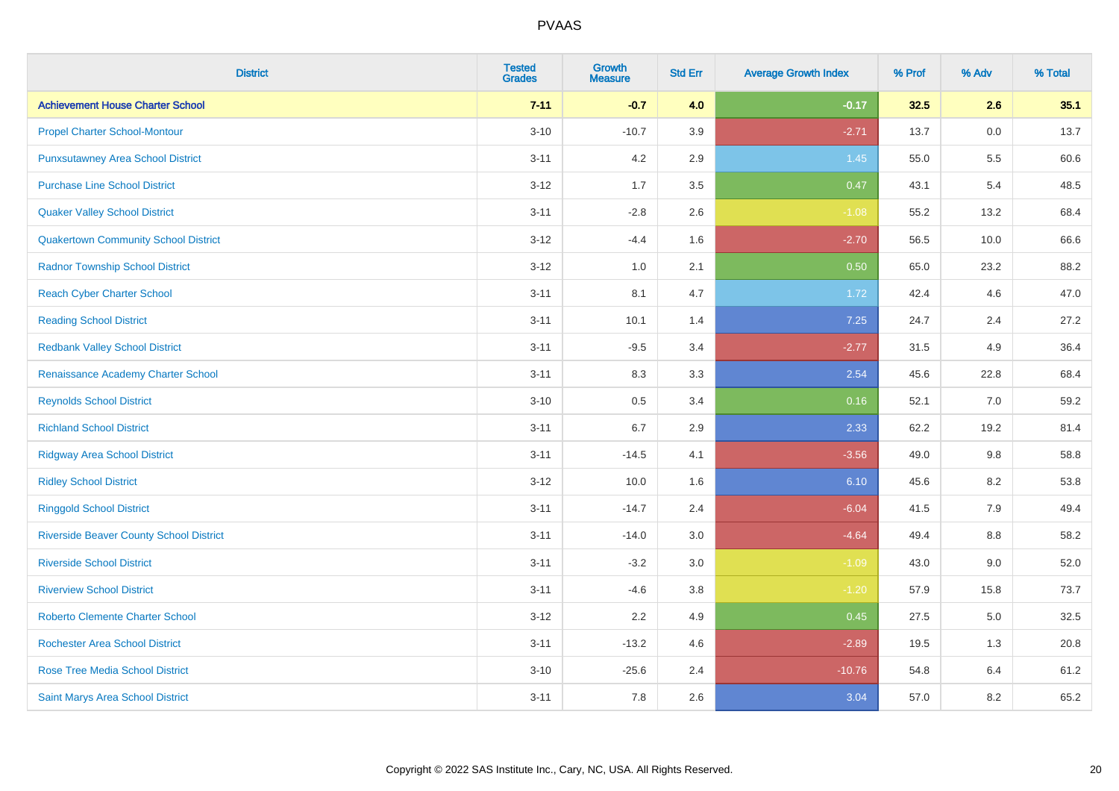| <b>District</b>                                | <b>Tested</b><br><b>Grades</b> | <b>Growth</b><br><b>Measure</b> | <b>Std Err</b> | <b>Average Growth Index</b> | % Prof | % Adv   | % Total |
|------------------------------------------------|--------------------------------|---------------------------------|----------------|-----------------------------|--------|---------|---------|
| <b>Achievement House Charter School</b>        | $7 - 11$                       | $-0.7$                          | 4.0            | $-0.17$                     | 32.5   | 2.6     | 35.1    |
| <b>Propel Charter School-Montour</b>           | $3 - 10$                       | $-10.7$                         | 3.9            | $-2.71$                     | 13.7   | 0.0     | 13.7    |
| <b>Punxsutawney Area School District</b>       | $3 - 11$                       | 4.2                             | 2.9            | 1.45                        | 55.0   | 5.5     | 60.6    |
| <b>Purchase Line School District</b>           | $3 - 12$                       | 1.7                             | 3.5            | 0.47                        | 43.1   | 5.4     | 48.5    |
| <b>Quaker Valley School District</b>           | $3 - 11$                       | $-2.8$                          | 2.6            | $-1.08$                     | 55.2   | 13.2    | 68.4    |
| <b>Quakertown Community School District</b>    | $3 - 12$                       | $-4.4$                          | 1.6            | $-2.70$                     | 56.5   | 10.0    | 66.6    |
| <b>Radnor Township School District</b>         | $3-12$                         | 1.0                             | 2.1            | 0.50                        | 65.0   | 23.2    | 88.2    |
| <b>Reach Cyber Charter School</b>              | $3 - 11$                       | 8.1                             | 4.7            | 1.72                        | 42.4   | 4.6     | 47.0    |
| <b>Reading School District</b>                 | $3 - 11$                       | 10.1                            | 1.4            | 7.25                        | 24.7   | 2.4     | 27.2    |
| <b>Redbank Valley School District</b>          | $3 - 11$                       | $-9.5$                          | 3.4            | $-2.77$                     | 31.5   | 4.9     | 36.4    |
| Renaissance Academy Charter School             | $3 - 11$                       | 8.3                             | 3.3            | 2.54                        | 45.6   | 22.8    | 68.4    |
| <b>Reynolds School District</b>                | $3 - 10$                       | 0.5                             | 3.4            | 0.16                        | 52.1   | 7.0     | 59.2    |
| <b>Richland School District</b>                | $3 - 11$                       | 6.7                             | 2.9            | 2.33                        | 62.2   | 19.2    | 81.4    |
| <b>Ridgway Area School District</b>            | $3 - 11$                       | $-14.5$                         | 4.1            | $-3.56$                     | 49.0   | 9.8     | 58.8    |
| <b>Ridley School District</b>                  | $3 - 12$                       | 10.0                            | 1.6            | 6.10                        | 45.6   | 8.2     | 53.8    |
| <b>Ringgold School District</b>                | $3 - 11$                       | $-14.7$                         | 2.4            | $-6.04$                     | 41.5   | 7.9     | 49.4    |
| <b>Riverside Beaver County School District</b> | $3 - 11$                       | $-14.0$                         | 3.0            | $-4.64$                     | 49.4   | 8.8     | 58.2    |
| <b>Riverside School District</b>               | $3 - 11$                       | $-3.2$                          | 3.0            | $-1.09$                     | 43.0   | 9.0     | 52.0    |
| <b>Riverview School District</b>               | $3 - 11$                       | $-4.6$                          | 3.8            | $-1.20$                     | 57.9   | 15.8    | 73.7    |
| <b>Roberto Clemente Charter School</b>         | $3-12$                         | 2.2                             | 4.9            | 0.45                        | 27.5   | $5.0\,$ | 32.5    |
| Rochester Area School District                 | $3 - 11$                       | $-13.2$                         | 4.6            | $-2.89$                     | 19.5   | 1.3     | 20.8    |
| <b>Rose Tree Media School District</b>         | $3 - 10$                       | $-25.6$                         | 2.4            | $-10.76$                    | 54.8   | 6.4     | 61.2    |
| Saint Marys Area School District               | $3 - 11$                       | 7.8                             | 2.6            | 3.04                        | 57.0   | 8.2     | 65.2    |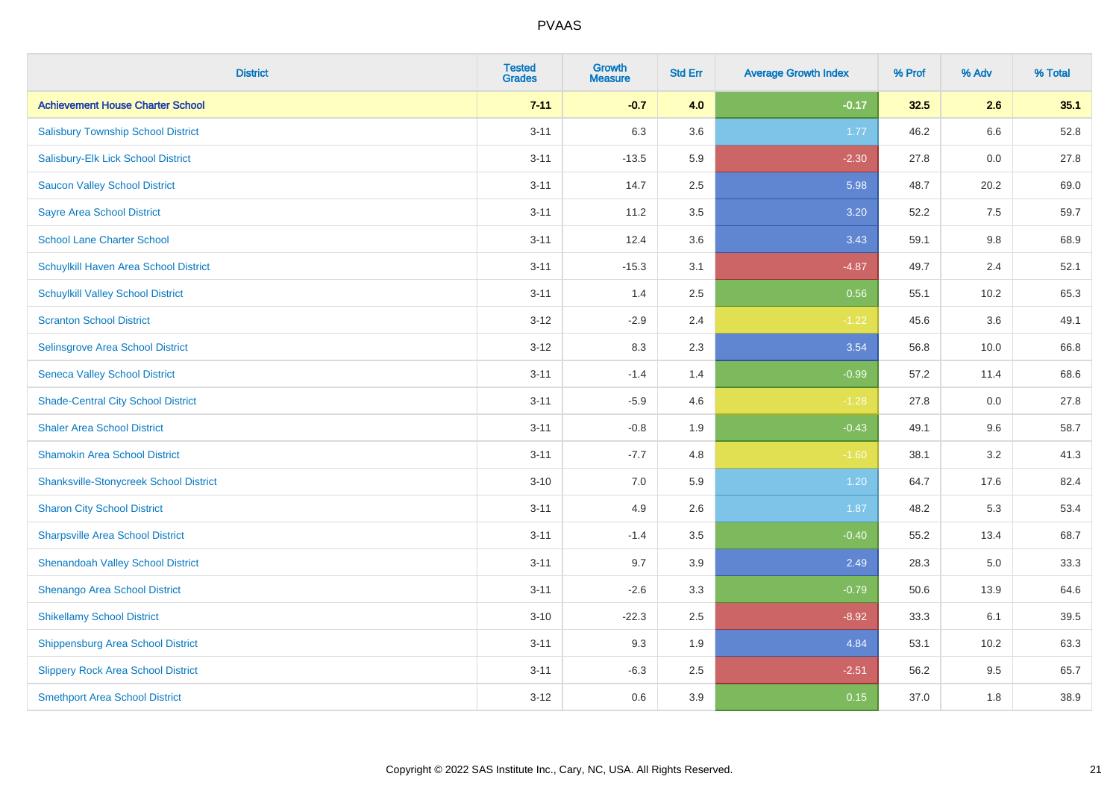| <b>District</b>                               | <b>Tested</b><br><b>Grades</b> | <b>Growth</b><br><b>Measure</b> | <b>Std Err</b> | <b>Average Growth Index</b> | % Prof | % Adv | % Total |
|-----------------------------------------------|--------------------------------|---------------------------------|----------------|-----------------------------|--------|-------|---------|
| <b>Achievement House Charter School</b>       | $7 - 11$                       | $-0.7$                          | 4.0            | $-0.17$                     | 32.5   | 2.6   | 35.1    |
| <b>Salisbury Township School District</b>     | $3 - 11$                       | 6.3                             | 3.6            | 1.77                        | 46.2   | 6.6   | 52.8    |
| Salisbury-Elk Lick School District            | $3 - 11$                       | $-13.5$                         | 5.9            | $-2.30$                     | 27.8   | 0.0   | 27.8    |
| <b>Saucon Valley School District</b>          | $3 - 11$                       | 14.7                            | 2.5            | 5.98                        | 48.7   | 20.2  | 69.0    |
| <b>Sayre Area School District</b>             | $3 - 11$                       | 11.2                            | 3.5            | 3.20                        | 52.2   | 7.5   | 59.7    |
| <b>School Lane Charter School</b>             | $3 - 11$                       | 12.4                            | 3.6            | 3.43                        | 59.1   | 9.8   | 68.9    |
| Schuylkill Haven Area School District         | $3 - 11$                       | $-15.3$                         | 3.1            | $-4.87$                     | 49.7   | 2.4   | 52.1    |
| <b>Schuylkill Valley School District</b>      | $3 - 11$                       | 1.4                             | 2.5            | 0.56                        | 55.1   | 10.2  | 65.3    |
| <b>Scranton School District</b>               | $3 - 12$                       | $-2.9$                          | 2.4            | $-1.22$                     | 45.6   | 3.6   | 49.1    |
| <b>Selinsgrove Area School District</b>       | $3 - 12$                       | 8.3                             | 2.3            | 3.54                        | 56.8   | 10.0  | 66.8    |
| <b>Seneca Valley School District</b>          | $3 - 11$                       | $-1.4$                          | 1.4            | $-0.99$                     | 57.2   | 11.4  | 68.6    |
| <b>Shade-Central City School District</b>     | $3 - 11$                       | $-5.9$                          | 4.6            | $-1.28$                     | 27.8   | 0.0   | 27.8    |
| <b>Shaler Area School District</b>            | $3 - 11$                       | $-0.8$                          | 1.9            | $-0.43$                     | 49.1   | 9.6   | 58.7    |
| <b>Shamokin Area School District</b>          | $3 - 11$                       | $-7.7$                          | 4.8            | $-1.60$                     | 38.1   | 3.2   | 41.3    |
| <b>Shanksville-Stonycreek School District</b> | $3 - 10$                       | 7.0                             | 5.9            | 1.20                        | 64.7   | 17.6  | 82.4    |
| <b>Sharon City School District</b>            | $3 - 11$                       | 4.9                             | 2.6            | 1.87                        | 48.2   | 5.3   | 53.4    |
| <b>Sharpsville Area School District</b>       | $3 - 11$                       | $-1.4$                          | 3.5            | $-0.40$                     | 55.2   | 13.4  | 68.7    |
| <b>Shenandoah Valley School District</b>      | $3 - 11$                       | 9.7                             | 3.9            | 2.49                        | 28.3   | 5.0   | 33.3    |
| Shenango Area School District                 | $3 - 11$                       | $-2.6$                          | 3.3            | $-0.79$                     | 50.6   | 13.9  | 64.6    |
| <b>Shikellamy School District</b>             | $3 - 10$                       | $-22.3$                         | 2.5            | $-8.92$                     | 33.3   | 6.1   | 39.5    |
| <b>Shippensburg Area School District</b>      | $3 - 11$                       | 9.3                             | 1.9            | 4.84                        | 53.1   | 10.2  | 63.3    |
| <b>Slippery Rock Area School District</b>     | $3 - 11$                       | $-6.3$                          | 2.5            | $-2.51$                     | 56.2   | 9.5   | 65.7    |
| <b>Smethport Area School District</b>         | $3 - 12$                       | 0.6                             | 3.9            | 0.15                        | 37.0   | 1.8   | 38.9    |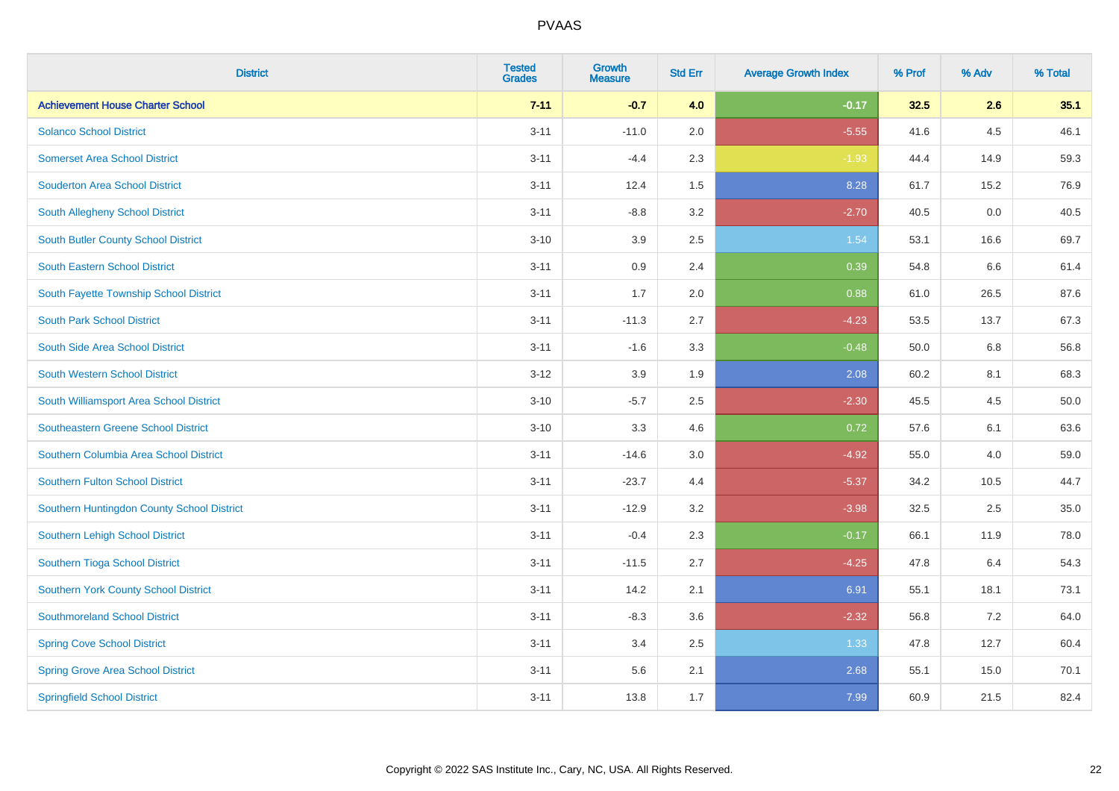| <b>District</b>                             | <b>Tested</b><br><b>Grades</b> | <b>Growth</b><br><b>Measure</b> | <b>Std Err</b> | <b>Average Growth Index</b> | % Prof | % Adv | % Total |
|---------------------------------------------|--------------------------------|---------------------------------|----------------|-----------------------------|--------|-------|---------|
| <b>Achievement House Charter School</b>     | $7 - 11$                       | $-0.7$                          | 4.0            | $-0.17$                     | 32.5   | 2.6   | 35.1    |
| <b>Solanco School District</b>              | $3 - 11$                       | $-11.0$                         | 2.0            | $-5.55$                     | 41.6   | 4.5   | 46.1    |
| <b>Somerset Area School District</b>        | $3 - 11$                       | $-4.4$                          | 2.3            | $-1.93$                     | 44.4   | 14.9  | 59.3    |
| <b>Souderton Area School District</b>       | $3 - 11$                       | 12.4                            | 1.5            | 8.28                        | 61.7   | 15.2  | 76.9    |
| South Allegheny School District             | $3 - 11$                       | $-8.8$                          | 3.2            | $-2.70$                     | 40.5   | 0.0   | 40.5    |
| <b>South Butler County School District</b>  | $3 - 10$                       | 3.9                             | 2.5            | 1.54                        | 53.1   | 16.6  | 69.7    |
| <b>South Eastern School District</b>        | $3 - 11$                       | $0.9\,$                         | 2.4            | 0.39                        | 54.8   | 6.6   | 61.4    |
| South Fayette Township School District      | $3 - 11$                       | 1.7                             | 2.0            | 0.88                        | 61.0   | 26.5  | 87.6    |
| <b>South Park School District</b>           | $3 - 11$                       | $-11.3$                         | 2.7            | $-4.23$                     | 53.5   | 13.7  | 67.3    |
| South Side Area School District             | $3 - 11$                       | $-1.6$                          | 3.3            | $-0.48$                     | 50.0   | 6.8   | 56.8    |
| <b>South Western School District</b>        | $3 - 12$                       | 3.9                             | 1.9            | 2.08                        | 60.2   | 8.1   | 68.3    |
| South Williamsport Area School District     | $3 - 10$                       | $-5.7$                          | 2.5            | $-2.30$                     | 45.5   | 4.5   | 50.0    |
| <b>Southeastern Greene School District</b>  | $3 - 10$                       | 3.3                             | 4.6            | 0.72                        | 57.6   | 6.1   | 63.6    |
| Southern Columbia Area School District      | $3 - 11$                       | $-14.6$                         | 3.0            | $-4.92$                     | 55.0   | 4.0   | 59.0    |
| <b>Southern Fulton School District</b>      | $3 - 11$                       | $-23.7$                         | 4.4            | $-5.37$                     | 34.2   | 10.5  | 44.7    |
| Southern Huntingdon County School District  | $3 - 11$                       | $-12.9$                         | 3.2            | $-3.98$                     | 32.5   | 2.5   | 35.0    |
| <b>Southern Lehigh School District</b>      | $3 - 11$                       | $-0.4$                          | 2.3            | $-0.17$                     | 66.1   | 11.9  | 78.0    |
| Southern Tioga School District              | $3 - 11$                       | $-11.5$                         | 2.7            | $-4.25$                     | 47.8   | 6.4   | 54.3    |
| <b>Southern York County School District</b> | $3 - 11$                       | 14.2                            | 2.1            | 6.91                        | 55.1   | 18.1  | 73.1    |
| <b>Southmoreland School District</b>        | $3 - 11$                       | $-8.3$                          | 3.6            | $-2.32$                     | 56.8   | 7.2   | 64.0    |
| <b>Spring Cove School District</b>          | $3 - 11$                       | 3.4                             | 2.5            | 1.33                        | 47.8   | 12.7  | 60.4    |
| <b>Spring Grove Area School District</b>    | $3 - 11$                       | 5.6                             | 2.1            | 2.68                        | 55.1   | 15.0  | 70.1    |
| <b>Springfield School District</b>          | $3 - 11$                       | 13.8                            | 1.7            | 7.99                        | 60.9   | 21.5  | 82.4    |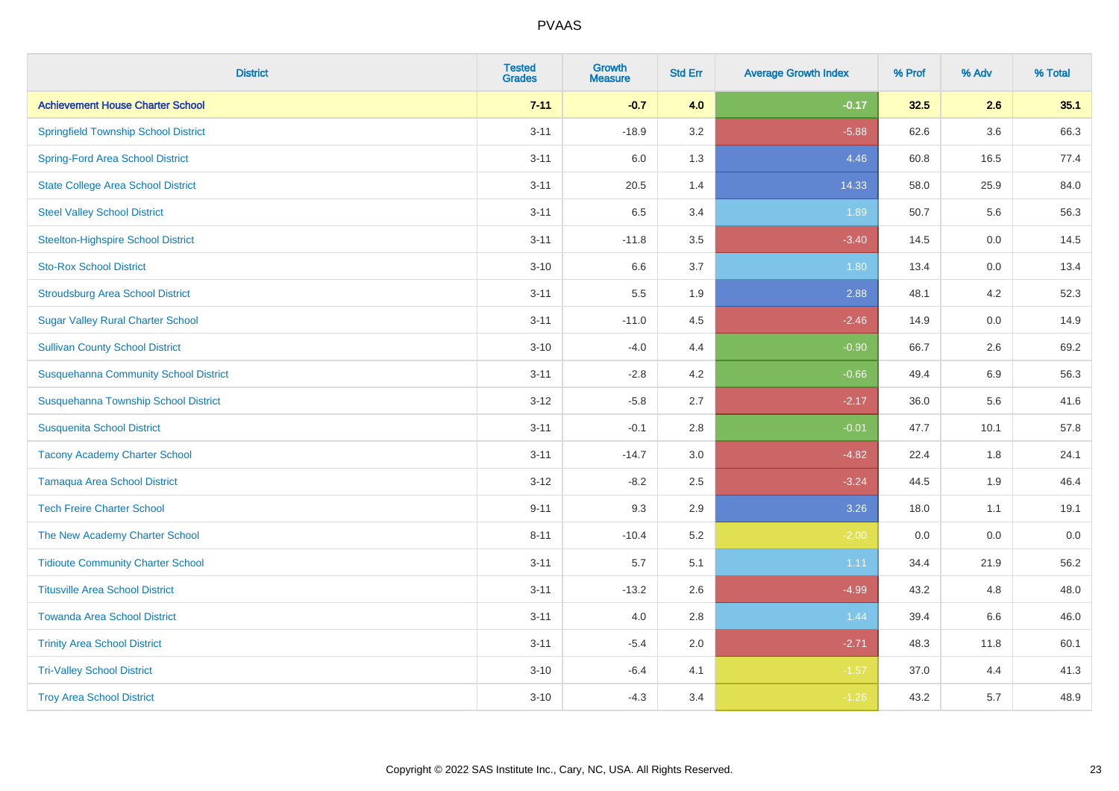| <b>District</b>                              | <b>Tested</b><br><b>Grades</b> | <b>Growth</b><br><b>Measure</b> | <b>Std Err</b> | <b>Average Growth Index</b> | % Prof | % Adv | % Total |
|----------------------------------------------|--------------------------------|---------------------------------|----------------|-----------------------------|--------|-------|---------|
| <b>Achievement House Charter School</b>      | $7 - 11$                       | $-0.7$                          | 4.0            | $-0.17$                     | 32.5   | 2.6   | 35.1    |
| <b>Springfield Township School District</b>  | $3 - 11$                       | $-18.9$                         | 3.2            | $-5.88$                     | 62.6   | 3.6   | 66.3    |
| <b>Spring-Ford Area School District</b>      | $3 - 11$                       | 6.0                             | 1.3            | 4.46                        | 60.8   | 16.5  | 77.4    |
| <b>State College Area School District</b>    | $3 - 11$                       | 20.5                            | 1.4            | 14.33                       | 58.0   | 25.9  | 84.0    |
| <b>Steel Valley School District</b>          | $3 - 11$                       | 6.5                             | 3.4            | 1.89                        | 50.7   | 5.6   | 56.3    |
| <b>Steelton-Highspire School District</b>    | $3 - 11$                       | $-11.8$                         | 3.5            | $-3.40$                     | 14.5   | 0.0   | 14.5    |
| <b>Sto-Rox School District</b>               | $3 - 10$                       | 6.6                             | 3.7            | 1.80                        | 13.4   | 0.0   | 13.4    |
| <b>Stroudsburg Area School District</b>      | $3 - 11$                       | 5.5                             | 1.9            | 2.88                        | 48.1   | 4.2   | 52.3    |
| <b>Sugar Valley Rural Charter School</b>     | $3 - 11$                       | $-11.0$                         | 4.5            | $-2.46$                     | 14.9   | 0.0   | 14.9    |
| <b>Sullivan County School District</b>       | $3 - 10$                       | $-4.0$                          | 4.4            | $-0.90$                     | 66.7   | 2.6   | 69.2    |
| <b>Susquehanna Community School District</b> | $3 - 11$                       | $-2.8$                          | 4.2            | $-0.66$                     | 49.4   | 6.9   | 56.3    |
| Susquehanna Township School District         | $3 - 12$                       | $-5.8$                          | 2.7            | $-2.17$                     | 36.0   | 5.6   | 41.6    |
| <b>Susquenita School District</b>            | $3 - 11$                       | $-0.1$                          | 2.8            | $-0.01$                     | 47.7   | 10.1  | 57.8    |
| <b>Tacony Academy Charter School</b>         | $3 - 11$                       | $-14.7$                         | 3.0            | $-4.82$                     | 22.4   | 1.8   | 24.1    |
| <b>Tamaqua Area School District</b>          | $3 - 12$                       | $-8.2$                          | 2.5            | $-3.24$                     | 44.5   | 1.9   | 46.4    |
| <b>Tech Freire Charter School</b>            | $9 - 11$                       | 9.3                             | 2.9            | 3.26                        | 18.0   | 1.1   | 19.1    |
| The New Academy Charter School               | $8 - 11$                       | $-10.4$                         | 5.2            | $-2.00$                     | 0.0    | 0.0   | 0.0     |
| <b>Tidioute Community Charter School</b>     | $3 - 11$                       | 5.7                             | 5.1            | 1.11                        | 34.4   | 21.9  | 56.2    |
| <b>Titusville Area School District</b>       | $3 - 11$                       | $-13.2$                         | 2.6            | $-4.99$                     | 43.2   | 4.8   | 48.0    |
| <b>Towanda Area School District</b>          | $3 - 11$                       | 4.0                             | 2.8            | 1.44                        | 39.4   | 6.6   | 46.0    |
| <b>Trinity Area School District</b>          | $3 - 11$                       | $-5.4$                          | 2.0            | $-2.71$                     | 48.3   | 11.8  | 60.1    |
| <b>Tri-Valley School District</b>            | $3 - 10$                       | $-6.4$                          | 4.1            | $-1.57$                     | 37.0   | 4.4   | 41.3    |
| <b>Troy Area School District</b>             | $3 - 10$                       | $-4.3$                          | 3.4            | $-1.26$                     | 43.2   | 5.7   | 48.9    |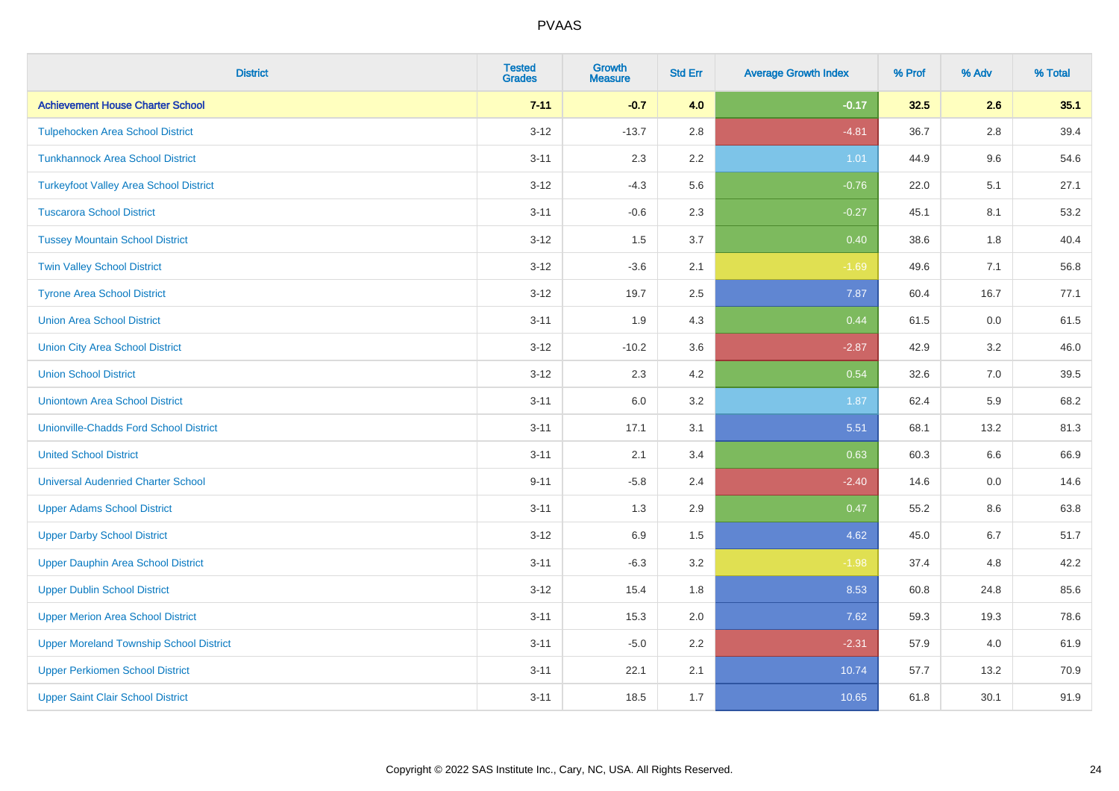| <b>District</b>                                | <b>Tested</b><br><b>Grades</b> | <b>Growth</b><br><b>Measure</b> | <b>Std Err</b> | <b>Average Growth Index</b> | % Prof | % Adv   | % Total |
|------------------------------------------------|--------------------------------|---------------------------------|----------------|-----------------------------|--------|---------|---------|
| <b>Achievement House Charter School</b>        | $7 - 11$                       | $-0.7$                          | 4.0            | $-0.17$                     | 32.5   | 2.6     | 35.1    |
| <b>Tulpehocken Area School District</b>        | $3 - 12$                       | $-13.7$                         | 2.8            | $-4.81$                     | 36.7   | $2.8\,$ | 39.4    |
| <b>Tunkhannock Area School District</b>        | $3 - 11$                       | 2.3                             | 2.2            | 1.01                        | 44.9   | 9.6     | 54.6    |
| <b>Turkeyfoot Valley Area School District</b>  | $3 - 12$                       | $-4.3$                          | 5.6            | $-0.76$                     | 22.0   | 5.1     | 27.1    |
| <b>Tuscarora School District</b>               | $3 - 11$                       | $-0.6$                          | 2.3            | $-0.27$                     | 45.1   | 8.1     | 53.2    |
| <b>Tussey Mountain School District</b>         | $3 - 12$                       | 1.5                             | 3.7            | 0.40                        | 38.6   | 1.8     | 40.4    |
| <b>Twin Valley School District</b>             | $3 - 12$                       | $-3.6$                          | 2.1            | $-1.69$                     | 49.6   | 7.1     | 56.8    |
| <b>Tyrone Area School District</b>             | $3 - 12$                       | 19.7                            | 2.5            | 7.87                        | 60.4   | 16.7    | 77.1    |
| <b>Union Area School District</b>              | $3 - 11$                       | 1.9                             | 4.3            | 0.44                        | 61.5   | 0.0     | 61.5    |
| <b>Union City Area School District</b>         | $3 - 12$                       | $-10.2$                         | 3.6            | $-2.87$                     | 42.9   | 3.2     | 46.0    |
| <b>Union School District</b>                   | $3 - 12$                       | 2.3                             | 4.2            | 0.54                        | 32.6   | 7.0     | 39.5    |
| <b>Uniontown Area School District</b>          | $3 - 11$                       | 6.0                             | 3.2            | 1.87                        | 62.4   | 5.9     | 68.2    |
| <b>Unionville-Chadds Ford School District</b>  | $3 - 11$                       | 17.1                            | 3.1            | 5.51                        | 68.1   | 13.2    | 81.3    |
| <b>United School District</b>                  | $3 - 11$                       | 2.1                             | 3.4            | 0.63                        | 60.3   | 6.6     | 66.9    |
| <b>Universal Audenried Charter School</b>      | $9 - 11$                       | $-5.8$                          | 2.4            | $-2.40$                     | 14.6   | 0.0     | 14.6    |
| <b>Upper Adams School District</b>             | $3 - 11$                       | 1.3                             | 2.9            | 0.47                        | 55.2   | $8.6\,$ | 63.8    |
| <b>Upper Darby School District</b>             | $3 - 12$                       | 6.9                             | 1.5            | 4.62                        | 45.0   | 6.7     | 51.7    |
| <b>Upper Dauphin Area School District</b>      | $3 - 11$                       | $-6.3$                          | $3.2\,$        | $-1.98$                     | 37.4   | 4.8     | 42.2    |
| <b>Upper Dublin School District</b>            | $3 - 12$                       | 15.4                            | 1.8            | 8.53                        | 60.8   | 24.8    | 85.6    |
| <b>Upper Merion Area School District</b>       | $3 - 11$                       | 15.3                            | 2.0            | 7.62                        | 59.3   | 19.3    | 78.6    |
| <b>Upper Moreland Township School District</b> | $3 - 11$                       | $-5.0$                          | 2.2            | $-2.31$                     | 57.9   | 4.0     | 61.9    |
| <b>Upper Perkiomen School District</b>         | $3 - 11$                       | 22.1                            | 2.1            | 10.74                       | 57.7   | 13.2    | 70.9    |
| <b>Upper Saint Clair School District</b>       | $3 - 11$                       | 18.5                            | 1.7            | 10.65                       | 61.8   | 30.1    | 91.9    |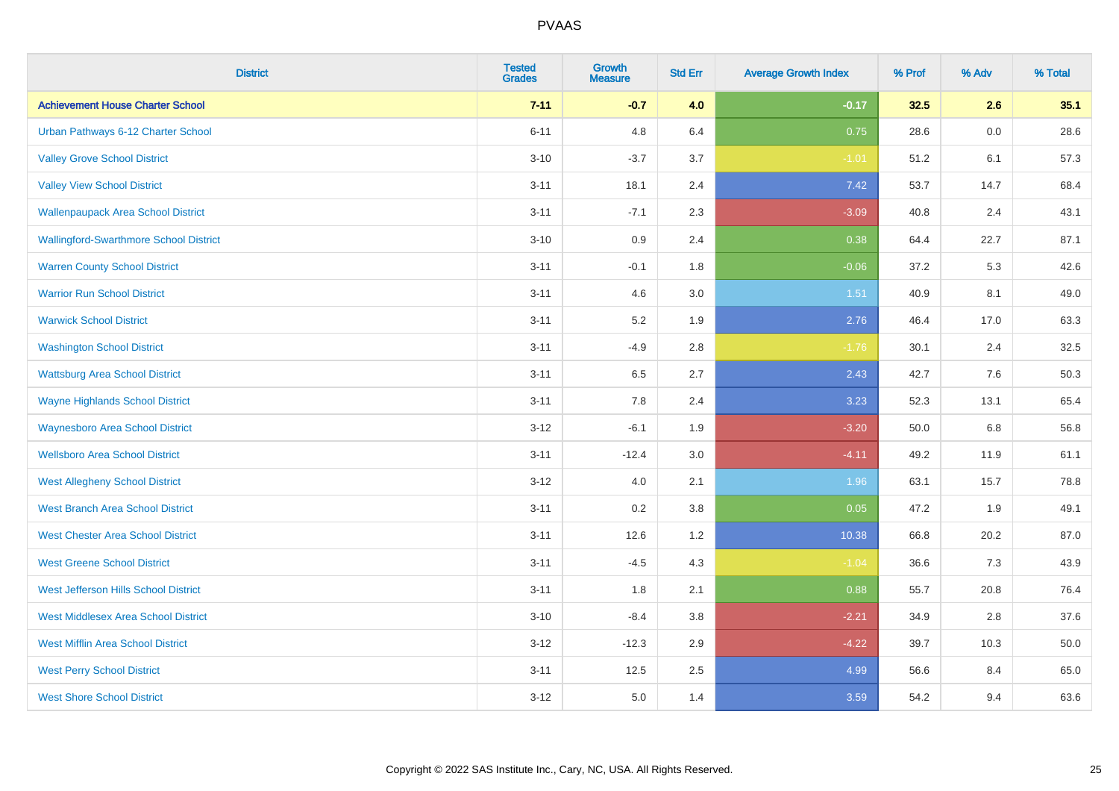| <b>District</b>                               | <b>Tested</b><br><b>Grades</b> | <b>Growth</b><br><b>Measure</b> | <b>Std Err</b> | <b>Average Growth Index</b> | % Prof | % Adv | % Total |
|-----------------------------------------------|--------------------------------|---------------------------------|----------------|-----------------------------|--------|-------|---------|
| <b>Achievement House Charter School</b>       | $7 - 11$                       | $-0.7$                          | 4.0            | $-0.17$                     | 32.5   | 2.6   | 35.1    |
| Urban Pathways 6-12 Charter School            | $6 - 11$                       | 4.8                             | 6.4            | 0.75                        | 28.6   | 0.0   | 28.6    |
| <b>Valley Grove School District</b>           | $3 - 10$                       | $-3.7$                          | 3.7            | $-1.01$                     | 51.2   | 6.1   | 57.3    |
| <b>Valley View School District</b>            | $3 - 11$                       | 18.1                            | 2.4            | 7.42                        | 53.7   | 14.7  | 68.4    |
| <b>Wallenpaupack Area School District</b>     | $3 - 11$                       | $-7.1$                          | 2.3            | $-3.09$                     | 40.8   | 2.4   | 43.1    |
| <b>Wallingford-Swarthmore School District</b> | $3 - 10$                       | $0.9\,$                         | 2.4            | 0.38                        | 64.4   | 22.7  | 87.1    |
| <b>Warren County School District</b>          | $3 - 11$                       | $-0.1$                          | 1.8            | $-0.06$                     | 37.2   | 5.3   | 42.6    |
| <b>Warrior Run School District</b>            | $3 - 11$                       | 4.6                             | 3.0            | 1.51                        | 40.9   | 8.1   | 49.0    |
| <b>Warwick School District</b>                | $3 - 11$                       | 5.2                             | 1.9            | 2.76                        | 46.4   | 17.0  | 63.3    |
| <b>Washington School District</b>             | $3 - 11$                       | $-4.9$                          | 2.8            | $-1.76$                     | 30.1   | 2.4   | 32.5    |
| <b>Wattsburg Area School District</b>         | $3 - 11$                       | 6.5                             | 2.7            | 2.43                        | 42.7   | 7.6   | 50.3    |
| <b>Wayne Highlands School District</b>        | $3 - 11$                       | 7.8                             | 2.4            | 3.23                        | 52.3   | 13.1  | 65.4    |
| <b>Waynesboro Area School District</b>        | $3 - 12$                       | $-6.1$                          | 1.9            | $-3.20$                     | 50.0   | 6.8   | 56.8    |
| <b>Wellsboro Area School District</b>         | $3 - 11$                       | $-12.4$                         | 3.0            | $-4.11$                     | 49.2   | 11.9  | 61.1    |
| <b>West Allegheny School District</b>         | $3 - 12$                       | 4.0                             | 2.1            | 1.96                        | 63.1   | 15.7  | 78.8    |
| <b>West Branch Area School District</b>       | $3 - 11$                       | 0.2                             | 3.8            | 0.05                        | 47.2   | 1.9   | 49.1    |
| <b>West Chester Area School District</b>      | $3 - 11$                       | 12.6                            | 1.2            | 10.38                       | 66.8   | 20.2  | 87.0    |
| <b>West Greene School District</b>            | $3 - 11$                       | $-4.5$                          | 4.3            | $-1.04$                     | 36.6   | 7.3   | 43.9    |
| West Jefferson Hills School District          | $3 - 11$                       | 1.8                             | 2.1            | 0.88                        | 55.7   | 20.8  | 76.4    |
| <b>West Middlesex Area School District</b>    | $3 - 10$                       | $-8.4$                          | 3.8            | $-2.21$                     | 34.9   | 2.8   | 37.6    |
| <b>West Mifflin Area School District</b>      | $3 - 12$                       | $-12.3$                         | 2.9            | $-4.22$                     | 39.7   | 10.3  | 50.0    |
| <b>West Perry School District</b>             | $3 - 11$                       | 12.5                            | 2.5            | 4.99                        | 56.6   | 8.4   | 65.0    |
| <b>West Shore School District</b>             | $3-12$                         | 5.0                             | 1.4            | 3.59                        | 54.2   | 9.4   | 63.6    |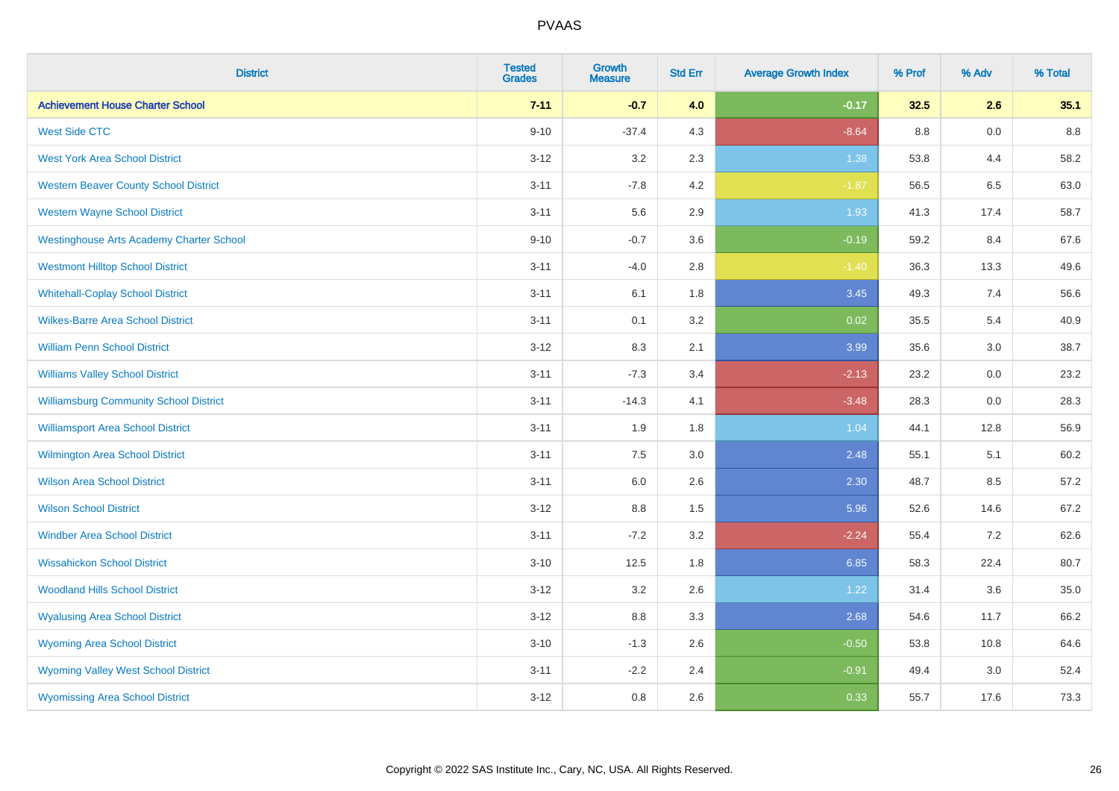| <b>District</b>                                 | <b>Tested</b><br><b>Grades</b> | <b>Growth</b><br><b>Measure</b> | <b>Std Err</b> | <b>Average Growth Index</b> | % Prof | % Adv | % Total |
|-------------------------------------------------|--------------------------------|---------------------------------|----------------|-----------------------------|--------|-------|---------|
| <b>Achievement House Charter School</b>         | $7 - 11$                       | $-0.7$                          | 4.0            | $-0.17$                     | 32.5   | 2.6   | 35.1    |
| <b>West Side CTC</b>                            | $9 - 10$                       | $-37.4$                         | 4.3            | $-8.64$                     | 8.8    | 0.0   | 8.8     |
| <b>West York Area School District</b>           | $3 - 12$                       | 3.2                             | 2.3            | 1.38                        | 53.8   | 4.4   | 58.2    |
| <b>Western Beaver County School District</b>    | $3 - 11$                       | $-7.8$                          | 4.2            | $-1.87$                     | 56.5   | 6.5   | 63.0    |
| <b>Western Wayne School District</b>            | $3 - 11$                       | 5.6                             | 2.9            | 1.93                        | 41.3   | 17.4  | 58.7    |
| <b>Westinghouse Arts Academy Charter School</b> | $9 - 10$                       | $-0.7$                          | 3.6            | $-0.19$                     | 59.2   | 8.4   | 67.6    |
| <b>Westmont Hilltop School District</b>         | $3 - 11$                       | $-4.0$                          | 2.8            | $-1.40$                     | 36.3   | 13.3  | 49.6    |
| <b>Whitehall-Coplay School District</b>         | $3 - 11$                       | 6.1                             | 1.8            | 3.45                        | 49.3   | 7.4   | 56.6    |
| <b>Wilkes-Barre Area School District</b>        | $3 - 11$                       | 0.1                             | 3.2            | 0.02                        | 35.5   | 5.4   | 40.9    |
| <b>William Penn School District</b>             | $3 - 12$                       | 8.3                             | 2.1            | 3.99                        | 35.6   | 3.0   | 38.7    |
| <b>Williams Valley School District</b>          | $3 - 11$                       | $-7.3$                          | 3.4            | $-2.13$                     | 23.2   | 0.0   | 23.2    |
| <b>Williamsburg Community School District</b>   | $3 - 11$                       | $-14.3$                         | 4.1            | $-3.48$                     | 28.3   | 0.0   | 28.3    |
| <b>Williamsport Area School District</b>        | $3 - 11$                       | 1.9                             | 1.8            | 1.04                        | 44.1   | 12.8  | 56.9    |
| <b>Wilmington Area School District</b>          | $3 - 11$                       | $7.5\,$                         | 3.0            | 2.48                        | 55.1   | 5.1   | 60.2    |
| <b>Wilson Area School District</b>              | $3 - 11$                       | 6.0                             | 2.6            | 2.30                        | 48.7   | 8.5   | 57.2    |
| <b>Wilson School District</b>                   | $3-12$                         | 8.8                             | 1.5            | 5.96                        | 52.6   | 14.6  | 67.2    |
| <b>Windber Area School District</b>             | $3 - 11$                       | $-7.2$                          | 3.2            | $-2.24$                     | 55.4   | 7.2   | 62.6    |
| <b>Wissahickon School District</b>              | $3 - 10$                       | 12.5                            | 1.8            | 6.85                        | 58.3   | 22.4  | 80.7    |
| <b>Woodland Hills School District</b>           | $3 - 12$                       | 3.2                             | 2.6            | 1.22                        | 31.4   | 3.6   | 35.0    |
| <b>Wyalusing Area School District</b>           | $3-12$                         | 8.8                             | 3.3            | 2.68                        | 54.6   | 11.7  | 66.2    |
| <b>Wyoming Area School District</b>             | $3 - 10$                       | $-1.3$                          | 2.6            | $-0.50$                     | 53.8   | 10.8  | 64.6    |
| <b>Wyoming Valley West School District</b>      | $3 - 11$                       | $-2.2$                          | 2.4            | $-0.91$                     | 49.4   | 3.0   | 52.4    |
| <b>Wyomissing Area School District</b>          | $3-12$                         | 0.8                             | 2.6            | 0.33                        | 55.7   | 17.6  | 73.3    |